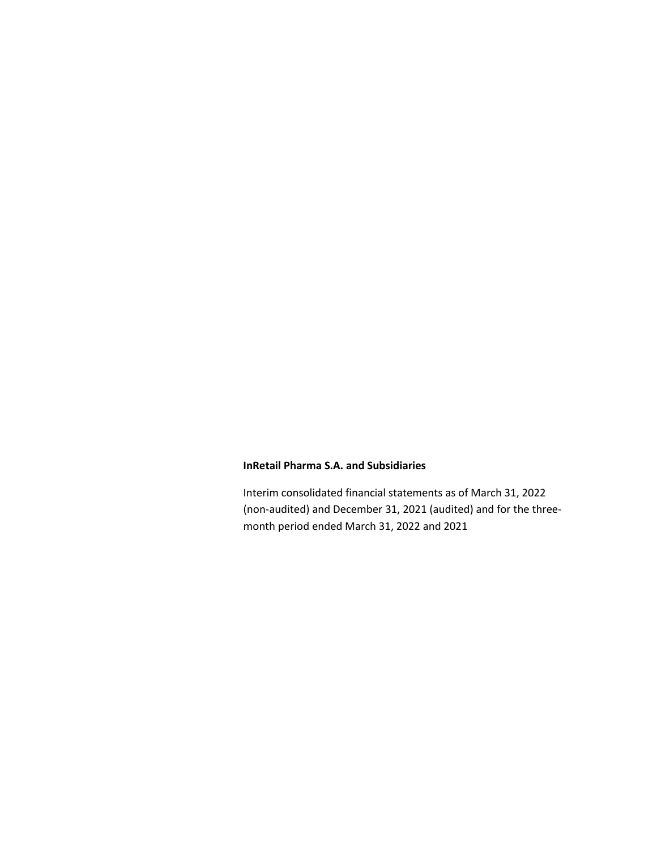Interim consolidated financial statements as of March 31, 2022 (non-audited) and December 31, 2021 (audited) and for the threemonth period ended March 31, 2022 and 2021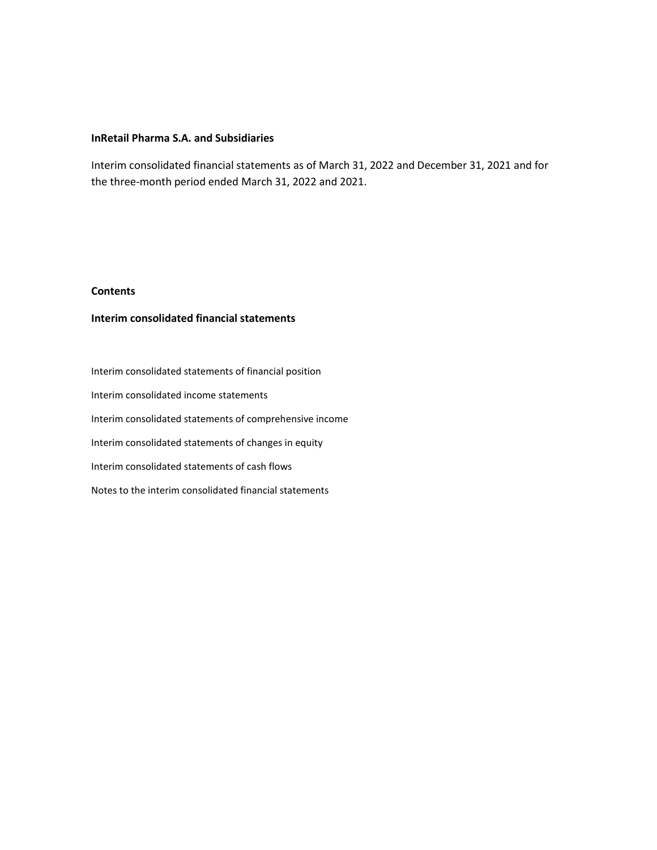Interim consolidated financial statements as of March 31, 2022 and December 31, 2021 and for the three-month period ended March 31, 2022 and 2021.

# **Contents**

# **Interim consolidated financial statements**

Interim consolidated statements of financial position Interim consolidated income statements Interim consolidated statements of comprehensive income Interim consolidated statements of changes in equity Interim consolidated statements of cash flows Notes to the interim consolidated financial statements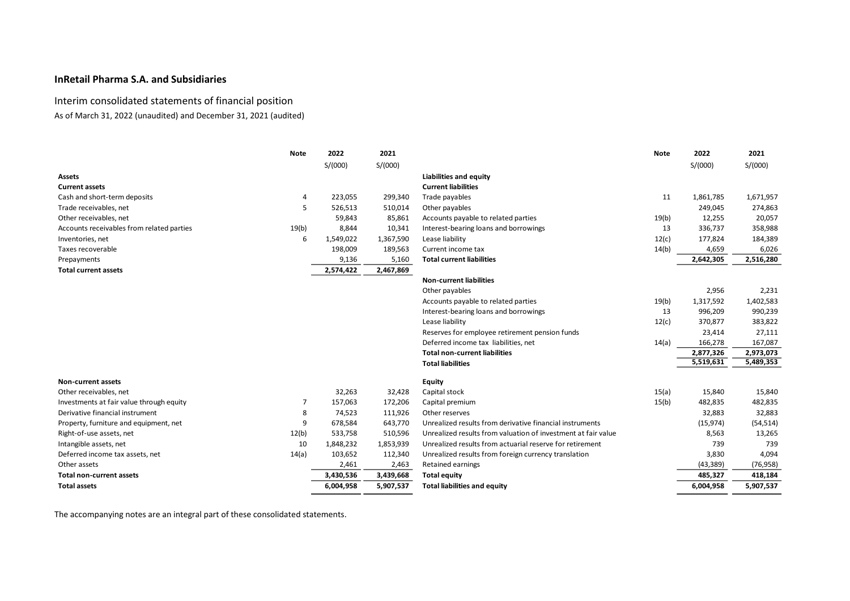# Interim consolidated statements of financial position

As of March 31, 2022 (unaudited) and December 31, 2021 (audited)

|                                           | <b>Note</b> | 2022      | 2021      |                                                               | <b>Note</b> | 2022      | 2021      |
|-------------------------------------------|-------------|-----------|-----------|---------------------------------------------------------------|-------------|-----------|-----------|
|                                           |             | S/(000)   | S/(000)   |                                                               |             | S/(000)   | S/(000)   |
| <b>Assets</b>                             |             |           |           | <b>Liabilities and equity</b>                                 |             |           |           |
| <b>Current assets</b>                     |             |           |           | <b>Current liabilities</b>                                    |             |           |           |
| Cash and short-term deposits              | 4           | 223,055   | 299,340   | Trade payables                                                | 11          | 1,861,785 | 1,671,957 |
| Trade receivables, net                    | 5           | 526,513   | 510,014   | Other payables                                                |             | 249,045   | 274,863   |
| Other receivables, net                    |             | 59,843    | 85,861    | Accounts payable to related parties                           | 19(b)       | 12,255    | 20,057    |
| Accounts receivables from related parties | 19(b)       | 8,844     | 10,341    | Interest-bearing loans and borrowings                         | 13          | 336,737   | 358,988   |
| Inventories, net                          | 6           | 1,549,022 | 1,367,590 | Lease liability                                               | 12(c)       | 177,824   | 184,389   |
| Taxes recoverable                         |             | 198,009   | 189,563   | Current income tax                                            | 14(b)       | 4,659     | 6,026     |
| Prepayments                               |             | 9,136     | 5,160     | <b>Total current liabilities</b>                              |             | 2,642,305 | 2,516,280 |
| <b>Total current assets</b>               |             | 2,574,422 | 2,467,869 |                                                               |             |           |           |
|                                           |             |           |           | <b>Non-current liabilities</b>                                |             |           |           |
|                                           |             |           |           | Other payables                                                |             | 2,956     | 2,231     |
|                                           |             |           |           | Accounts payable to related parties                           | 19(b)       | 1,317,592 | 1,402,583 |
|                                           |             |           |           | Interest-bearing loans and borrowings                         | 13          | 996,209   | 990,239   |
|                                           |             |           |           | Lease liability                                               | 12(c)       | 370,877   | 383,822   |
|                                           |             |           |           | Reserves for employee retirement pension funds                |             | 23,414    | 27,111    |
|                                           |             |           |           | Deferred income tax liabilities, net                          | 14(a)       | 166,278   | 167,087   |
|                                           |             |           |           | <b>Total non-current liabilities</b>                          |             | 2,877,326 | 2,973,073 |
|                                           |             |           |           | <b>Total liabilities</b>                                      |             | 5,519,631 | 5,489,353 |
| <b>Non-current assets</b>                 |             |           |           | <b>Equity</b>                                                 |             |           |           |
| Other receivables, net                    |             | 32,263    | 32,428    | Capital stock                                                 | 15(a)       | 15,840    | 15,840    |
| Investments at fair value through equity  | 7           | 157,063   | 172,206   | Capital premium                                               | 15(b)       | 482,835   | 482,835   |
| Derivative financial instrument           | 8           | 74,523    | 111,926   | Other reserves                                                |             | 32,883    | 32,883    |
| Property, furniture and equipment, net    | 9           | 678,584   | 643,770   | Unrealized results from derivative financial instruments      |             | (15, 974) | (54, 514) |
| Right-of-use assets, net                  | 12(b)       | 533,758   | 510,596   | Unrealized results from valuation of investment at fair value |             | 8,563     | 13,265    |
| Intangible assets, net                    | 10          | 1,848,232 | 1,853,939 | Unrealized results from actuarial reserve for retirement      |             | 739       | 739       |
| Deferred income tax assets, net           | 14(a)       | 103,652   | 112,340   | Unrealized results from foreign currency translation          |             | 3,830     | 4,094     |
| Other assets                              |             | 2,461     | 2,463     | <b>Retained earnings</b>                                      |             | (43, 389) | (76, 958) |
| <b>Total non-current assets</b>           |             | 3,430,536 | 3,439,668 | <b>Total equity</b>                                           |             | 485,327   | 418,184   |
| <b>Total assets</b>                       |             | 6,004,958 | 5,907,537 | <b>Total liabilities and equity</b>                           |             | 6,004,958 | 5,907,537 |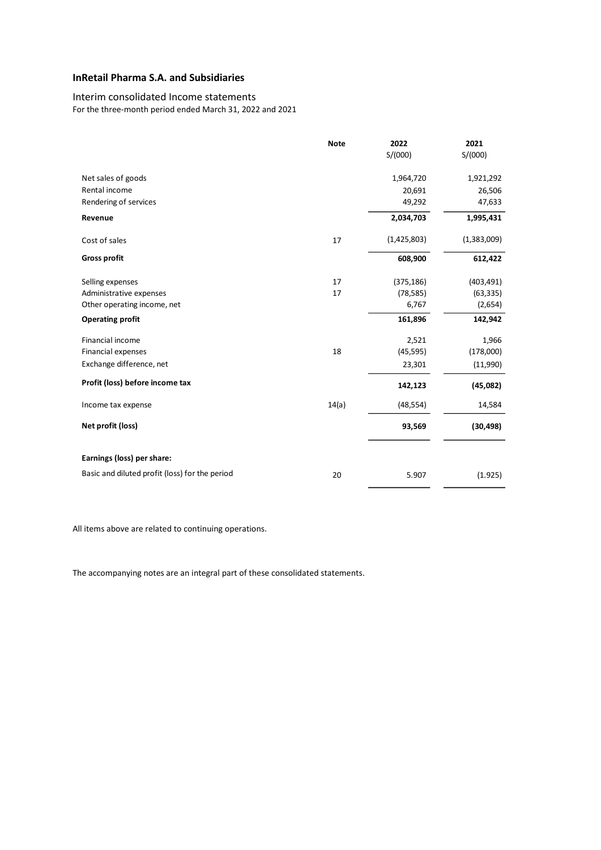# Interim consolidated Income statements

For the three-month period ended March 31, 2022 and 2021

|                                                | <b>Note</b> | 2022        | 2021        |
|------------------------------------------------|-------------|-------------|-------------|
|                                                |             | S/(000)     | S/(000)     |
| Net sales of goods                             |             | 1,964,720   | 1,921,292   |
| Rental income                                  |             | 20,691      | 26,506      |
| Rendering of services                          |             | 49,292      | 47,633      |
| Revenue                                        |             | 2,034,703   | 1,995,431   |
| Cost of sales                                  | 17          | (1,425,803) | (1,383,009) |
| <b>Gross profit</b>                            |             | 608,900     | 612,422     |
| Selling expenses                               | 17          | (375, 186)  | (403, 491)  |
| Administrative expenses                        | 17          | (78, 585)   | (63, 335)   |
| Other operating income, net                    |             | 6,767       | (2,654)     |
| <b>Operating profit</b>                        |             | 161,896     | 142,942     |
| Financial income                               |             | 2,521       | 1,966       |
| Financial expenses                             | 18          | (45, 595)   | (178,000)   |
| Exchange difference, net                       |             | 23,301      | (11,990)    |
| Profit (loss) before income tax                |             | 142,123     | (45,082)    |
| Income tax expense                             | 14(a)       | (48, 554)   | 14,584      |
| Net profit (loss)                              |             | 93,569      | (30, 498)   |
| Earnings (loss) per share:                     |             |             |             |
| Basic and diluted profit (loss) for the period | 20          | 5.907       | (1.925)     |

All items above are related to continuing operations.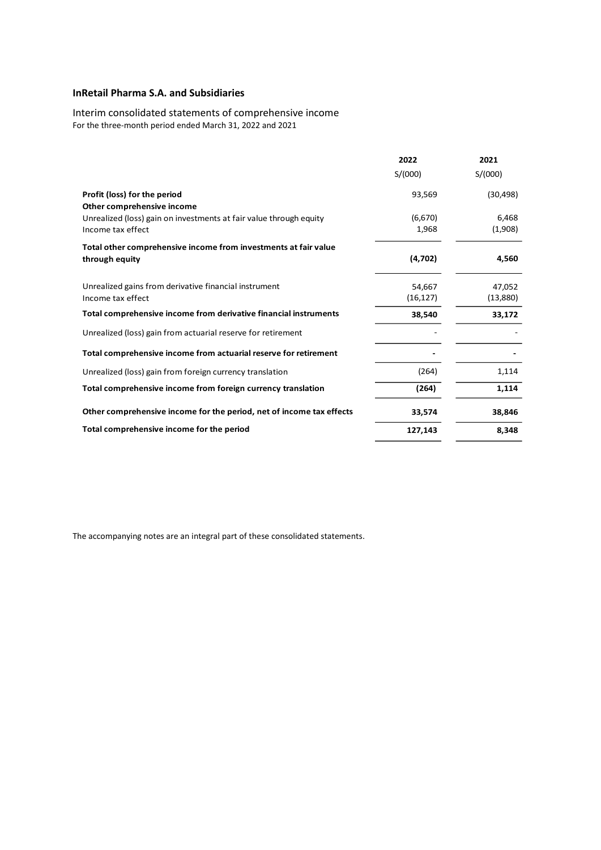Interim consolidated statements of comprehensive income For the three-month period ended March 31, 2022 and 2021

|                                                                      | 2022      | 2021      |
|----------------------------------------------------------------------|-----------|-----------|
|                                                                      | S/(000)   | S/(000)   |
| Profit (loss) for the period                                         | 93,569    | (30, 498) |
| Other comprehensive income                                           |           |           |
| Unrealized (loss) gain on investments at fair value through equity   | (6,670)   | 6,468     |
| Income tax effect                                                    | 1,968     | (1,908)   |
| Total other comprehensive income from investments at fair value      |           |           |
| through equity                                                       | (4,702)   | 4,560     |
| Unrealized gains from derivative financial instrument                | 54,667    | 47,052    |
| Income tax effect                                                    | (16, 127) | (13,880)  |
| Total comprehensive income from derivative financial instruments     | 38,540    | 33,172    |
| Unrealized (loss) gain from actuarial reserve for retirement         |           |           |
| Total comprehensive income from actuarial reserve for retirement     |           |           |
| Unrealized (loss) gain from foreign currency translation             | (264)     | 1,114     |
| Total comprehensive income from foreign currency translation         | (264)     | 1,114     |
| Other comprehensive income for the period, net of income tax effects | 33,574    | 38,846    |
| Total comprehensive income for the period                            | 127,143   | 8,348     |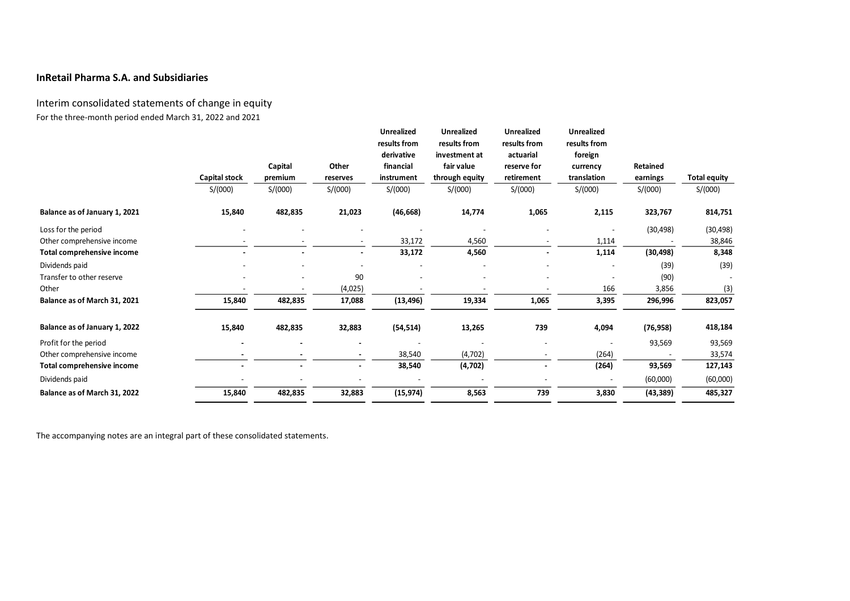Interim consolidated statements of change in equity For the three-month period ended March 31, 2022 and 2021

|                               | Capital stock<br>S/(000) | Capital<br>premium<br>S/(000) | Other<br>reserves<br>S/(000) | <b>Unrealized</b><br>results from<br>derivative<br>financial<br>instrument<br>S/(000) | Unrealized<br>results from<br>investment at<br>fair value<br>through equity<br>S/(000) | <b>Unrealized</b><br>results from<br>actuarial<br>reserve for<br>retirement<br>S/(000) | <b>Unrealized</b><br>results from<br>foreign<br>currency<br>translation<br>S/(000) | Retained<br>earnings<br>S/(000) | <b>Total equity</b><br>S/(000) |
|-------------------------------|--------------------------|-------------------------------|------------------------------|---------------------------------------------------------------------------------------|----------------------------------------------------------------------------------------|----------------------------------------------------------------------------------------|------------------------------------------------------------------------------------|---------------------------------|--------------------------------|
| Balance as of January 1, 2021 | 15,840                   | 482,835                       | 21,023                       | (46, 668)                                                                             | 14,774                                                                                 | 1,065                                                                                  | 2,115                                                                              | 323,767                         | 814,751                        |
| Loss for the period           |                          |                               |                              |                                                                                       |                                                                                        |                                                                                        |                                                                                    | (30, 498)                       | (30, 498)                      |
| Other comprehensive income    |                          |                               |                              | 33,172                                                                                | 4,560                                                                                  |                                                                                        | 1,114                                                                              |                                 | 38,846                         |
| Total comprehensive income    |                          |                               |                              | 33,172                                                                                | 4,560                                                                                  |                                                                                        | 1,114                                                                              | (30, 498)                       | 8,348                          |
| Dividends paid                |                          |                               |                              |                                                                                       |                                                                                        |                                                                                        |                                                                                    | (39)                            | (39)                           |
| Transfer to other reserve     |                          |                               | 90                           |                                                                                       |                                                                                        |                                                                                        |                                                                                    | (90)                            |                                |
| Other                         |                          |                               | (4,025)                      |                                                                                       |                                                                                        |                                                                                        | 166                                                                                | 3,856                           | (3)                            |
| Balance as of March 31, 2021  | 15,840                   | 482,835                       | 17,088                       | (13, 496)                                                                             | 19,334                                                                                 | 1,065                                                                                  | 3,395                                                                              | 296,996                         | 823,057                        |
| Balance as of January 1, 2022 | 15,840                   | 482,835                       | 32,883                       | (54, 514)                                                                             | 13,265                                                                                 | 739                                                                                    | 4,094                                                                              | (76, 958)                       | 418,184                        |
| Profit for the period         |                          |                               |                              |                                                                                       |                                                                                        |                                                                                        |                                                                                    | 93,569                          | 93,569                         |
| Other comprehensive income    |                          |                               | $\overline{\phantom{a}}$     | 38,540                                                                                | (4,702)                                                                                |                                                                                        | (264)                                                                              |                                 | 33,574                         |
| Total comprehensive income    |                          |                               | $\blacksquare$               | 38,540                                                                                | (4,702)                                                                                |                                                                                        | (264)                                                                              | 93,569                          | 127,143                        |
| Dividends paid                |                          |                               |                              |                                                                                       |                                                                                        |                                                                                        |                                                                                    | (60,000)                        | (60,000)                       |
| Balance as of March 31, 2022  | 15,840                   | 482,835                       | 32,883                       | (15, 974)                                                                             | 8,563                                                                                  | 739                                                                                    | 3,830                                                                              | (43, 389)                       | 485,327                        |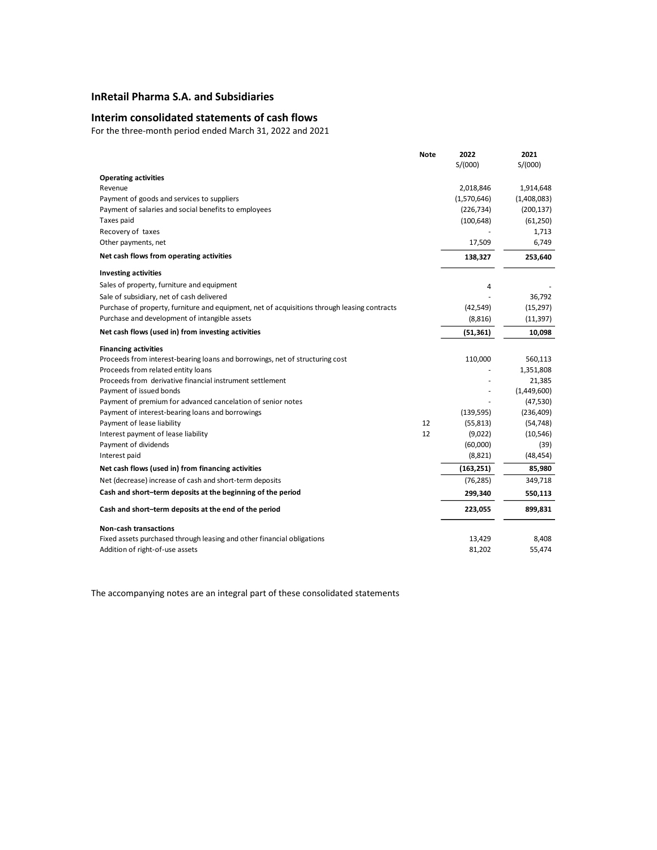## **Interim consolidated statements of cash flows**

For the three-month period ended March 31, 2022 and 2021

|                                                                                              | <b>Note</b> | 2022<br>S/(000) | 2021<br>S/(000) |
|----------------------------------------------------------------------------------------------|-------------|-----------------|-----------------|
| <b>Operating activities</b>                                                                  |             |                 |                 |
| Revenue                                                                                      |             | 2,018,846       | 1,914,648       |
| Payment of goods and services to suppliers                                                   |             | (1,570,646)     | (1,408,083)     |
| Payment of salaries and social benefits to employees                                         |             | (226, 734)      | (200, 137)      |
| Taxes paid                                                                                   |             | (100, 648)      | (61, 250)       |
| Recovery of taxes                                                                            |             |                 | 1,713           |
| Other payments, net                                                                          |             | 17,509          | 6,749           |
| Net cash flows from operating activities                                                     |             | 138,327         | 253,640         |
| <b>Investing activities</b>                                                                  |             |                 |                 |
| Sales of property, furniture and equipment                                                   |             | 4               |                 |
| Sale of subsidiary, net of cash delivered                                                    |             |                 | 36,792          |
| Purchase of property, furniture and equipment, net of acquisitions through leasing contracts |             | (42, 549)       | (15, 297)       |
| Purchase and development of intangible assets                                                |             | (8,816)         | (11, 397)       |
| Net cash flows (used in) from investing activities                                           |             | (51, 361)       | 10,098          |
| <b>Financing activities</b>                                                                  |             |                 |                 |
| Proceeds from interest-bearing loans and borrowings, net of structuring cost                 |             | 110,000         | 560,113         |
| Proceeds from related entity loans                                                           |             |                 | 1,351,808       |
| Proceeds from derivative financial instrument settlement                                     |             |                 | 21,385          |
| Payment of issued bonds                                                                      |             |                 | (1,449,600)     |
| Payment of premium for advanced cancelation of senior notes                                  |             |                 | (47, 530)       |
| Payment of interest-bearing loans and borrowings                                             |             | (139, 595)      | (236, 409)      |
| Payment of lease liability                                                                   | 12          | (55, 813)       | (54, 748)       |
| Interest payment of lease liability                                                          | 12          | (9,022)         | (10, 546)       |
| Payment of dividends                                                                         |             | (60,000)        | (39)            |
| Interest paid                                                                                |             | (8,821)         | (48, 454)       |
| Net cash flows (used in) from financing activities                                           |             | (163, 251)      | 85,980          |
| Net (decrease) increase of cash and short-term deposits                                      |             | (76, 285)       | 349,718         |
| Cash and short-term deposits at the beginning of the period                                  |             | 299,340         | 550,113         |
| Cash and short-term deposits at the end of the period                                        |             | 223,055         | 899,831         |
| <b>Non-cash transactions</b>                                                                 |             |                 |                 |
| Fixed assets purchased through leasing and other financial obligations                       |             | 13,429          | 8,408           |
| Addition of right-of-use assets                                                              |             | 81,202          | 55,474          |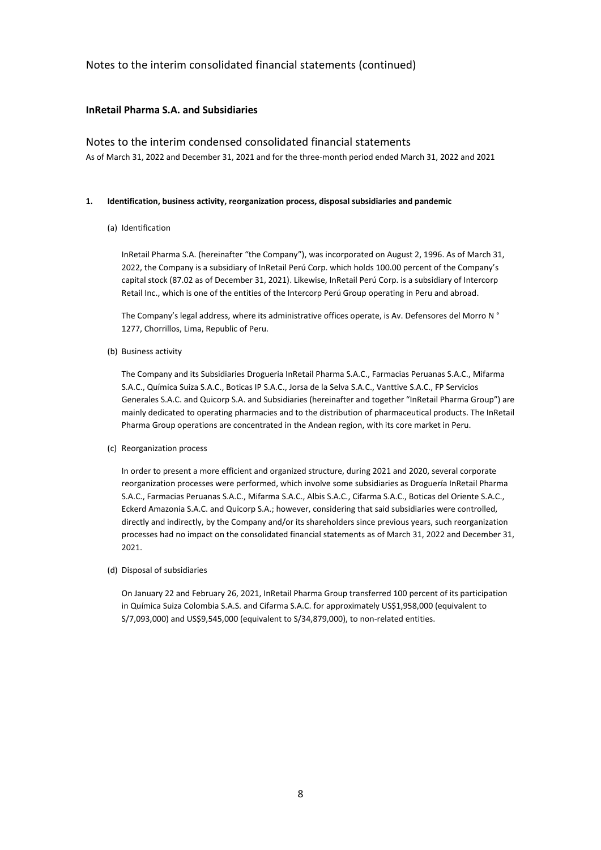# **InRetail Pharma S.A. and Subsidiaries**

### Notes to the interim condensed consolidated financial statements

As of March 31, 2022 and December 31, 2021 and for the three-month period ended March 31, 2022 and 2021

### **1. Identification, business activity, reorganization process, disposal subsidiaries and pandemic**

(a) Identification

InRetail Pharma S.A. (hereinafter "the Company"), was incorporated on August 2, 1996. As of March 31, 2022, the Company is a subsidiary of InRetail Perú Corp. which holds 100.00 percent of the Company's capital stock (87.02 as of December 31, 2021). Likewise, InRetail Perú Corp. is a subsidiary of Intercorp Retail Inc., which is one of the entities of the Intercorp Perú Group operating in Peru and abroad.

The Company's legal address, where its administrative offices operate, is Av. Defensores del Morro N ° 1277, Chorrillos, Lima, Republic of Peru.

(b) Business activity

The Company and its Subsidiaries Drogueria InRetail Pharma S.A.C., Farmacias Peruanas S.A.C., Mifarma S.A.C., Química Suiza S.A.C., Boticas IP S.A.C., Jorsa de la Selva S.A.C., Vanttive S.A.C., FP Servicios Generales S.A.C. and Quicorp S.A. and Subsidiaries (hereinafter and together "InRetail Pharma Group") are mainly dedicated to operating pharmacies and to the distribution of pharmaceutical products. The InRetail Pharma Group operations are concentrated in the Andean region, with its core market in Peru.

(c) Reorganization process

In order to present a more efficient and organized structure, during 2021 and 2020, several corporate reorganization processes were performed, which involve some subsidiaries as Droguería InRetail Pharma S.A.C., Farmacias Peruanas S.A.C., Mifarma S.A.C., Albis S.A.C., Cifarma S.A.C., Boticas del Oriente S.A.C., Eckerd Amazonia S.A.C. and Quicorp S.A.; however, considering that said subsidiaries were controlled, directly and indirectly, by the Company and/or its shareholders since previous years, such reorganization processes had no impact on the consolidated financial statements as of March 31, 2022 and December 31, 2021.

(d) Disposal of subsidiaries

On January 22 and February 26, 2021, InRetail Pharma Group transferred 100 percent of its participation in Química Suiza Colombia S.A.S. and Cifarma S.A.C. for approximately US\$1,958,000 (equivalent to S/7,093,000) and US\$9,545,000 (equivalent to S/34,879,000), to non-related entities.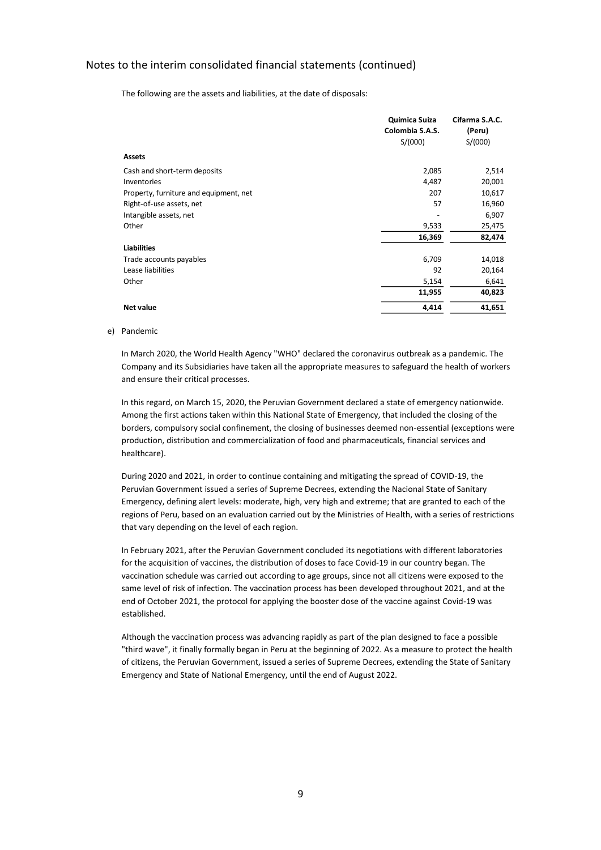The following are the assets and liabilities, at the date of disposals:

|                                        | Química Suiza<br>Colombia S.A.S. | Cifarma S.A.C.<br>(Peru) |
|----------------------------------------|----------------------------------|--------------------------|
|                                        | S/(000)                          | S/(000)                  |
| <b>Assets</b>                          |                                  |                          |
| Cash and short-term deposits           | 2,085                            | 2,514                    |
| Inventories                            | 4,487                            | 20,001                   |
| Property, furniture and equipment, net | 207                              | 10,617                   |
| Right-of-use assets, net               | 57                               | 16,960                   |
| Intangible assets, net                 |                                  | 6,907                    |
| Other                                  | 9,533                            | 25,475                   |
|                                        | 16,369                           | 82,474                   |
| <b>Liabilities</b>                     |                                  |                          |
| Trade accounts payables                | 6,709                            | 14,018                   |
| Lease liabilities                      | 92                               | 20,164                   |
| Other                                  | 5,154                            | 6,641                    |
|                                        | 11,955                           | 40,823                   |
| <b>Net value</b>                       | 4,414                            | 41,651                   |

#### e) Pandemic

In March 2020, the World Health Agency "WHO" declared the coronavirus outbreak as a pandemic. The Company and its Subsidiaries have taken all the appropriate measures to safeguard the health of workers and ensure their critical processes.

In this regard, on March 15, 2020, the Peruvian Government declared a state of emergency nationwide. Among the first actions taken within this National State of Emergency, that included the closing of the borders, compulsory social confinement, the closing of businesses deemed non-essential (exceptions were production, distribution and commercialization of food and pharmaceuticals, financial services and healthcare).

During 2020 and 2021, in order to continue containing and mitigating the spread of COVID-19, the Peruvian Government issued a series of Supreme Decrees, extending the Nacional State of Sanitary Emergency, defining alert levels: moderate, high, very high and extreme; that are granted to each of the regions of Peru, based on an evaluation carried out by the Ministries of Health, with a series of restrictions that vary depending on the level of each region.

In February 2021, after the Peruvian Government concluded its negotiations with different laboratories for the acquisition of vaccines, the distribution of doses to face Covid-19 in our country began. The vaccination schedule was carried out according to age groups, since not all citizens were exposed to the same level of risk of infection. The vaccination process has been developed throughout 2021, and at the end of October 2021, the protocol for applying the booster dose of the vaccine against Covid-19 was established.

Although the vaccination process was advancing rapidly as part of the plan designed to face a possible "third wave", it finally formally began in Peru at the beginning of 2022. As a measure to protect the health of citizens, the Peruvian Government, issued a series of Supreme Decrees, extending the State of Sanitary Emergency and State of National Emergency, until the end of August 2022.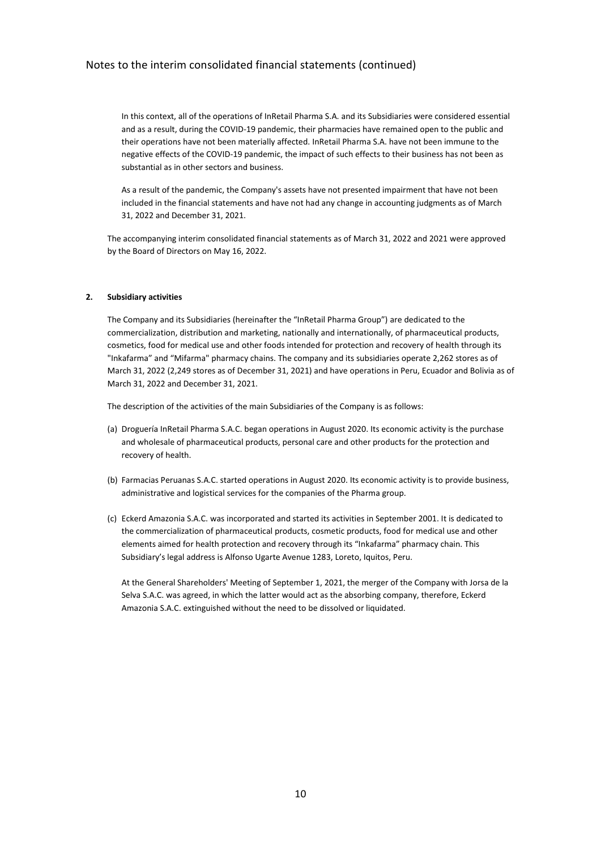In this context, all of the operations of InRetail Pharma S.A. and its Subsidiaries were considered essential and as a result, during the COVID-19 pandemic, their pharmacies have remained open to the public and their operations have not been materially affected. InRetail Pharma S.A. have not been immune to the negative effects of the COVID-19 pandemic, the impact of such effects to their business has not been as substantial as in other sectors and business.

As a result of the pandemic, the Company's assets have not presented impairment that have not been included in the financial statements and have not had any change in accounting judgments as of March 31, 2022 and December 31, 2021.

The accompanying interim consolidated financial statements as of March 31, 2022 and 2021 were approved by the Board of Directors on May 16, 2022.

### **2. Subsidiary activities**

The Company and its Subsidiaries (hereinafter the "InRetail Pharma Group") are dedicated to the commercialization, distribution and marketing, nationally and internationally, of pharmaceutical products, cosmetics, food for medical use and other foods intended for protection and recovery of health through its "Inkafarma" and "Mifarma" pharmacy chains. The company and its subsidiaries operate 2,262 stores as of March 31, 2022 (2,249 stores as of December 31, 2021) and have operations in Peru, Ecuador and Bolivia as of March 31, 2022 and December 31, 2021.

The description of the activities of the main Subsidiaries of the Company is as follows:

- (a) Droguería InRetail Pharma S.A.C. began operations in August 2020. Its economic activity is the purchase and wholesale of pharmaceutical products, personal care and other products for the protection and recovery of health.
- (b) Farmacias Peruanas S.A.C. started operations in August 2020. Its economic activity is to provide business, administrative and logistical services for the companies of the Pharma group.
- (c) Eckerd Amazonia S.A.C. was incorporated and started its activities in September 2001. It is dedicated to the commercialization of pharmaceutical products, cosmetic products, food for medical use and other elements aimed for health protection and recovery through its "Inkafarma" pharmacy chain. This Subsidiary's legal address is Alfonso Ugarte Avenue 1283, Loreto, Iquitos, Peru.

At the General Shareholders' Meeting of September 1, 2021, the merger of the Company with Jorsa de la Selva S.A.C. was agreed, in which the latter would act as the absorbing company, therefore, Eckerd Amazonia S.A.C. extinguished without the need to be dissolved or liquidated.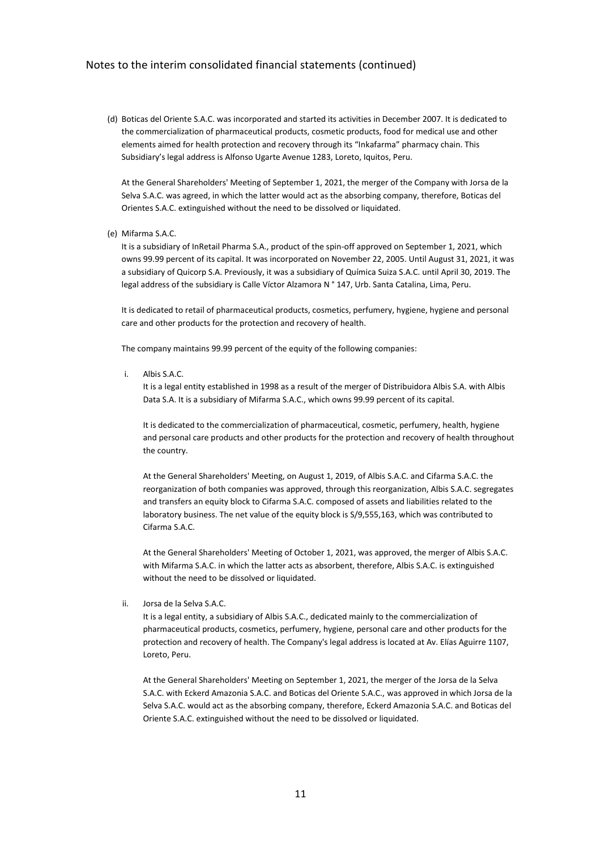(d) Boticas del Oriente S.A.C. was incorporated and started its activities in December 2007. It is dedicated to the commercialization of pharmaceutical products, cosmetic products, food for medical use and other elements aimed for health protection and recovery through its "Inkafarma" pharmacy chain. This Subsidiary's legal address is Alfonso Ugarte Avenue 1283, Loreto, Iquitos, Peru.

At the General Shareholders' Meeting of September 1, 2021, the merger of the Company with Jorsa de la Selva S.A.C. was agreed, in which the latter would act as the absorbing company, therefore, Boticas del Orientes S.A.C. extinguished without the need to be dissolved or liquidated.

(e) Mifarma S.A.C.

It is a subsidiary of InRetail Pharma S.A., product of the spin-off approved on September 1, 2021, which owns 99.99 percent of its capital. It was incorporated on November 22, 2005. Until August 31, 2021, it was a subsidiary of Quicorp S.A. Previously, it was a subsidiary of Química Suiza S.A.C. until April 30, 2019. The legal address of the subsidiary is Calle Víctor Alzamora N ° 147, Urb. Santa Catalina, Lima, Peru.

It is dedicated to retail of pharmaceutical products, cosmetics, perfumery, hygiene, hygiene and personal care and other products for the protection and recovery of health.

The company maintains 99.99 percent of the equity of the following companies:

i. Albis S.A.C.

It is a legal entity established in 1998 as a result of the merger of Distribuidora Albis S.A. with Albis Data S.A. It is a subsidiary of Mifarma S.A.C., which owns 99.99 percent of its capital.

It is dedicated to the commercialization of pharmaceutical, cosmetic, perfumery, health, hygiene and personal care products and other products for the protection and recovery of health throughout the country.

At the General Shareholders' Meeting, on August 1, 2019, of Albis S.A.C. and Cifarma S.A.C. the reorganization of both companies was approved, through this reorganization, Albis S.A.C. segregates and transfers an equity block to Cifarma S.A.C. composed of assets and liabilities related to the laboratory business. The net value of the equity block is S/9,555,163, which was contributed to Cifarma S.A.C.

At the General Shareholders' Meeting of October 1, 2021, was approved, the merger of Albis S.A.C. with Mifarma S.A.C. in which the latter acts as absorbent, therefore, Albis S.A.C. is extinguished without the need to be dissolved or liquidated.

ii. Jorsa de la Selva S.A.C.

It is a legal entity, a subsidiary of Albis S.A.C., dedicated mainly to the commercialization of pharmaceutical products, cosmetics, perfumery, hygiene, personal care and other products for the protection and recovery of health. The Company's legal address is located at Av. Elías Aguirre 1107, Loreto, Peru.

At the General Shareholders' Meeting on September 1, 2021, the merger of the Jorsa de la Selva S.A.C. with Eckerd Amazonia S.A.C. and Boticas del Oriente S.A.C., was approved in which Jorsa de la Selva S.A.C. would act as the absorbing company, therefore, Eckerd Amazonia S.A.C. and Boticas del Oriente S.A.C. extinguished without the need to be dissolved or liquidated.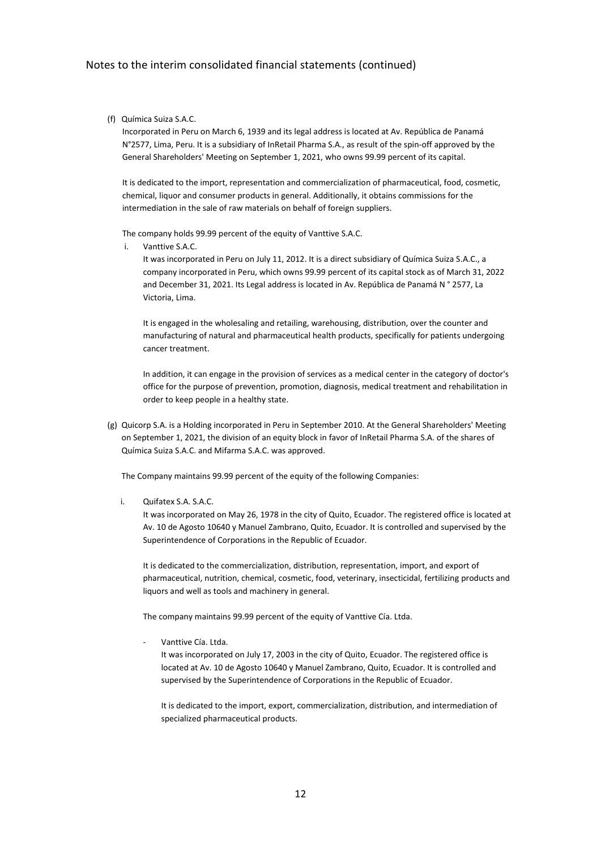### (f) Química Suiza S.A.C.

Incorporated in Peru on March 6, 1939 and its legal address is located at Av. República de Panamá N°2577, Lima, Peru. It is a subsidiary of InRetail Pharma S.A., as result of the spin-off approved by the General Shareholders' Meeting on September 1, 2021, who owns 99.99 percent of its capital.

It is dedicated to the import, representation and commercialization of pharmaceutical, food, cosmetic, chemical, liquor and consumer products in general. Additionally, it obtains commissions for the intermediation in the sale of raw materials on behalf of foreign suppliers.

The company holds 99.99 percent of the equity of Vanttive S.A.C.

i. Vanttive S.A.C.

It was incorporated in Peru on July 11, 2012. It is a direct subsidiary of Química Suiza S.A.C., a company incorporated in Peru, which owns 99.99 percent of its capital stock as of March 31, 2022 and December 31, 2021. Its Legal address is located in Av. República de Panamá N ° 2577, La Victoria, Lima.

It is engaged in the wholesaling and retailing, warehousing, distribution, over the counter and manufacturing of natural and pharmaceutical health products, specifically for patients undergoing cancer treatment.

In addition, it can engage in the provision of services as a medical center in the category of doctor's office for the purpose of prevention, promotion, diagnosis, medical treatment and rehabilitation in order to keep people in a healthy state.

(g) Quicorp S.A. is a Holding incorporated in Peru in September 2010. At the General Shareholders' Meeting on September 1, 2021, the division of an equity block in favor of InRetail Pharma S.A. of the shares of Química Suiza S.A.C. and Mifarma S.A.C. was approved.

The Company maintains 99.99 percent of the equity of the following Companies:

i. Quifatex S.A. S.A.C.

It was incorporated on May 26, 1978 in the city of Quito, Ecuador. The registered office is located at Av. 10 de Agosto 10640 y Manuel Zambrano, Quito, Ecuador. It is controlled and supervised by the Superintendence of Corporations in the Republic of Ecuador.

It is dedicated to the commercialization, distribution, representation, import, and export of pharmaceutical, nutrition, chemical, cosmetic, food, veterinary, insecticidal, fertilizing products and liquors and well as tools and machinery in general.

The company maintains 99.99 percent of the equity of Vanttive Cía. Ltda.

Vanttive Cía. I tda.

It was incorporated on July 17, 2003 in the city of Quito, Ecuador. The registered office is located at Av. 10 de Agosto 10640 y Manuel Zambrano, Quito, Ecuador. It is controlled and supervised by the Superintendence of Corporations in the Republic of Ecuador.

It is dedicated to the import, export, commercialization, distribution, and intermediation of specialized pharmaceutical products.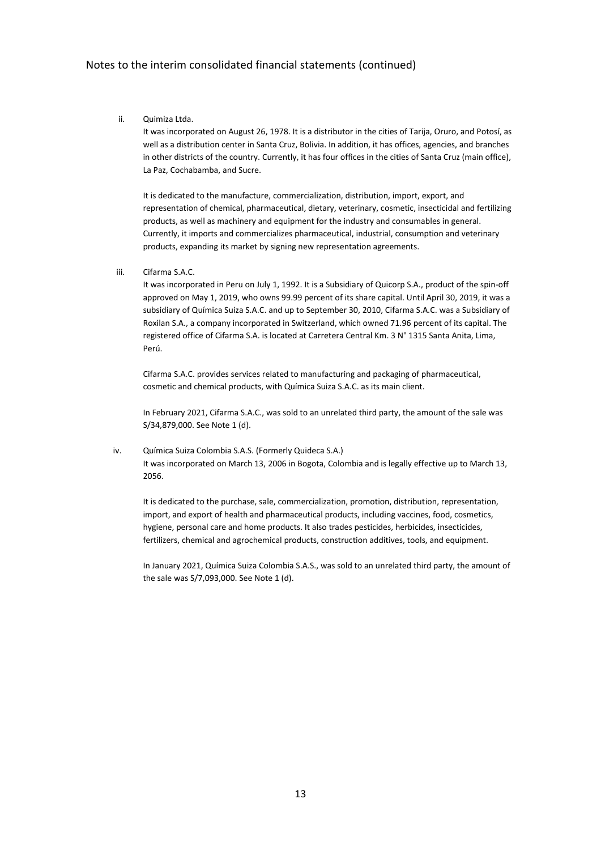ii. Quimiza Ltda.

It was incorporated on August 26, 1978. It is a distributor in the cities of Tarija, Oruro, and Potosí, as well as a distribution center in Santa Cruz, Bolivia. In addition, it has offices, agencies, and branches in other districts of the country. Currently, it has four offices in the cities of Santa Cruz (main office), La Paz, Cochabamba, and Sucre.

It is dedicated to the manufacture, commercialization, distribution, import, export, and representation of chemical, pharmaceutical, dietary, veterinary, cosmetic, insecticidal and fertilizing products, as well as machinery and equipment for the industry and consumables in general. Currently, it imports and commercializes pharmaceutical, industrial, consumption and veterinary products, expanding its market by signing new representation agreements.

iii. Cifarma S.A.C.

It was incorporated in Peru on July 1, 1992. It is a Subsidiary of Quicorp S.A., product of the spin-off approved on May 1, 2019, who owns 99.99 percent of its share capital. Until April 30, 2019, it was a subsidiary of Química Suiza S.A.C. and up to September 30, 2010, Cifarma S.A.C. was a Subsidiary of Roxilan S.A., a company incorporated in Switzerland, which owned 71.96 percent of its capital. The registered office of Cifarma S.A. is located at Carretera Central Km. 3 N° 1315 Santa Anita, Lima, Perú.

Cifarma S.A.C. provides services related to manufacturing and packaging of pharmaceutical, cosmetic and chemical products, with Química Suiza S.A.C. as its main client.

In February 2021, Cifarma S.A.C., was sold to an unrelated third party, the amount of the sale was S/34,879,000. See Note 1 (d).

iv. Química Suiza Colombia S.A.S. (Formerly Quideca S.A.) It was incorporated on March 13, 2006 in Bogota, Colombia and is legally effective up to March 13, 2056.

It is dedicated to the purchase, sale, commercialization, promotion, distribution, representation, import, and export of health and pharmaceutical products, including vaccines, food, cosmetics, hygiene, personal care and home products. It also trades pesticides, herbicides, insecticides, fertilizers, chemical and agrochemical products, construction additives, tools, and equipment.

In January 2021, Química Suiza Colombia S.A.S., was sold to an unrelated third party, the amount of the sale was S/7,093,000. See Note 1 (d).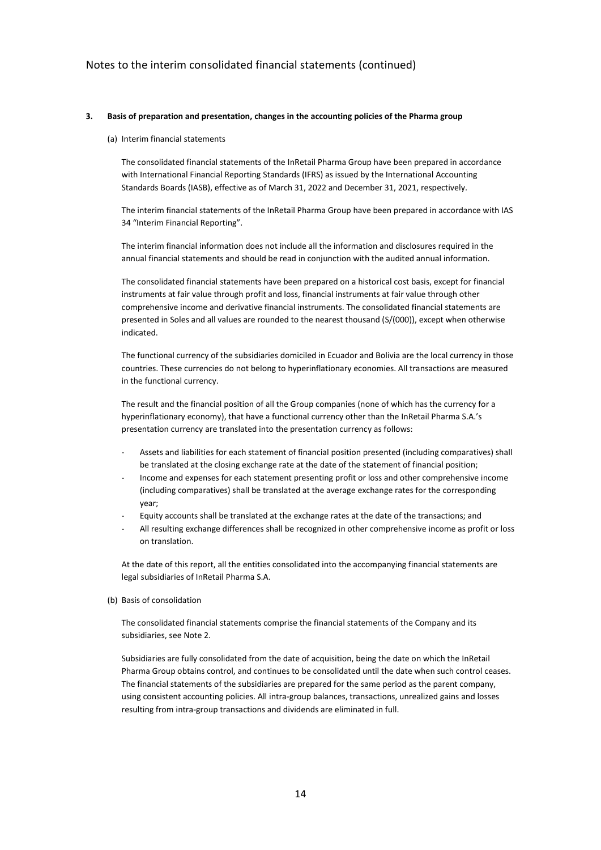### **3. Basis of preparation and presentation, changes in the accounting policies of the Pharma group**

#### (a) Interim financial statements

The consolidated financial statements of the InRetail Pharma Group have been prepared in accordance with International Financial Reporting Standards (IFRS) as issued by the International Accounting Standards Boards (IASB), effective as of March 31, 2022 and December 31, 2021, respectively.

The interim financial statements of the InRetail Pharma Group have been prepared in accordance with IAS 34 "Interim Financial Reporting".

The interim financial information does not include all the information and disclosures required in the annual financial statements and should be read in conjunction with the audited annual information.

The consolidated financial statements have been prepared on a historical cost basis, except for financial instruments at fair value through profit and loss, financial instruments at fair value through other comprehensive income and derivative financial instruments. The consolidated financial statements are presented in Soles and all values are rounded to the nearest thousand (S/(000)), except when otherwise indicated.

The functional currency of the subsidiaries domiciled in Ecuador and Bolivia are the local currency in those countries. These currencies do not belong to hyperinflationary economies. All transactions are measured in the functional currency.

The result and the financial position of all the Group companies (none of which has the currency for a hyperinflationary economy), that have a functional currency other than the InRetail Pharma S.A.'s presentation currency are translated into the presentation currency as follows:

- Assets and liabilities for each statement of financial position presented (including comparatives) shall be translated at the closing exchange rate at the date of the statement of financial position;
- Income and expenses for each statement presenting profit or loss and other comprehensive income (including comparatives) shall be translated at the average exchange rates for the corresponding year;
- Equity accounts shall be translated at the exchange rates at the date of the transactions; and
- All resulting exchange differences shall be recognized in other comprehensive income as profit or loss on translation.

At the date of this report, all the entities consolidated into the accompanying financial statements are legal subsidiaries of InRetail Pharma S.A.

### (b) Basis of consolidation

The consolidated financial statements comprise the financial statements of the Company and its subsidiaries, see Note 2.

Subsidiaries are fully consolidated from the date of acquisition, being the date on which the InRetail Pharma Group obtains control, and continues to be consolidated until the date when such control ceases. The financial statements of the subsidiaries are prepared for the same period as the parent company, using consistent accounting policies. All intra-group balances, transactions, unrealized gains and losses resulting from intra-group transactions and dividends are eliminated in full.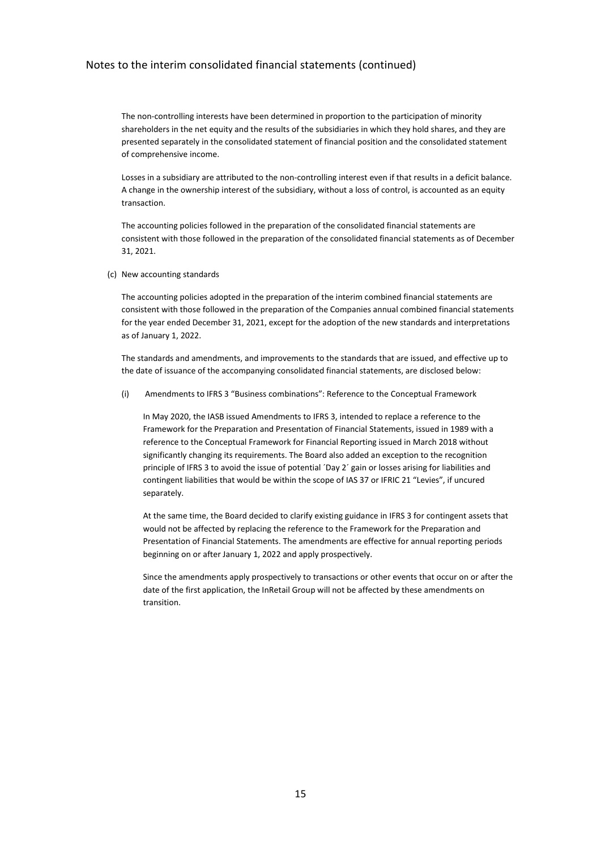The non-controlling interests have been determined in proportion to the participation of minority shareholders in the net equity and the results of the subsidiaries in which they hold shares, and they are presented separately in the consolidated statement of financial position and the consolidated statement of comprehensive income.

Losses in a subsidiary are attributed to the non-controlling interest even if that results in a deficit balance. A change in the ownership interest of the subsidiary, without a loss of control, is accounted as an equity transaction.

The accounting policies followed in the preparation of the consolidated financial statements are consistent with those followed in the preparation of the consolidated financial statements as of December 31, 2021.

(c) New accounting standards

The accounting policies adopted in the preparation of the interim combined financial statements are consistent with those followed in the preparation of the Companies annual combined financial statements for the year ended December 31, 2021, except for the adoption of the new standards and interpretations as of January 1, 2022.

The standards and amendments, and improvements to the standards that are issued, and effective up to the date of issuance of the accompanying consolidated financial statements, are disclosed below:

(i) Amendments to IFRS 3 "Business combinations": Reference to the Conceptual Framework

In May 2020, the IASB issued Amendments to IFRS 3, intended to replace a reference to the Framework for the Preparation and Presentation of Financial Statements, issued in 1989 with a reference to the Conceptual Framework for Financial Reporting issued in March 2018 without significantly changing its requirements. The Board also added an exception to the recognition principle of IFRS 3 to avoid the issue of potential ´Day 2´ gain or losses arising for liabilities and contingent liabilities that would be within the scope of IAS 37 or IFRIC 21 "Levies", if uncured separately.

At the same time, the Board decided to clarify existing guidance in IFRS 3 for contingent assets that would not be affected by replacing the reference to the Framework for the Preparation and Presentation of Financial Statements. The amendments are effective for annual reporting periods beginning on or after January 1, 2022 and apply prospectively.

Since the amendments apply prospectively to transactions or other events that occur on or after the date of the first application, the InRetail Group will not be affected by these amendments on transition.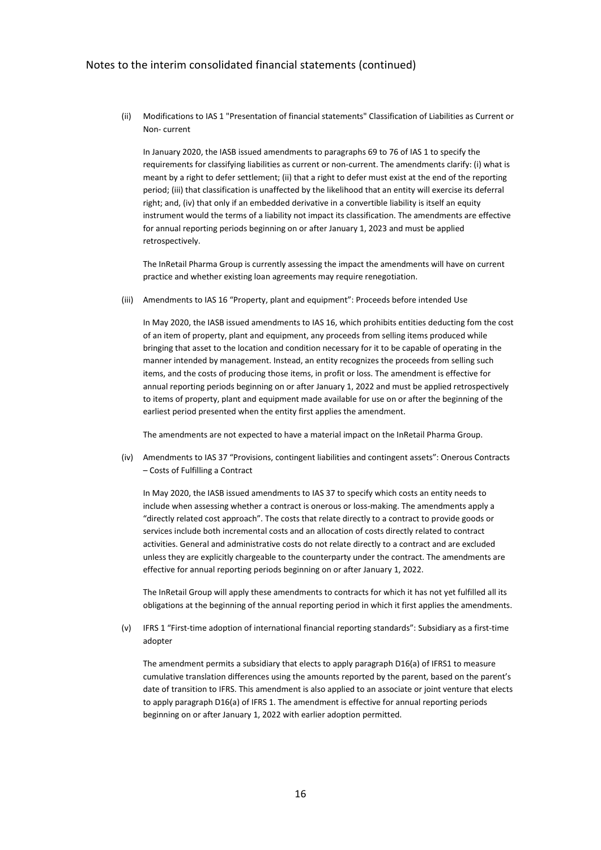(ii) Modifications to IAS 1 "Presentation of financial statements" Classification of Liabilities as Current or Non- current

In January 2020, the IASB issued amendments to paragraphs 69 to 76 of IAS 1 to specify the requirements for classifying liabilities as current or non-current. The amendments clarify: (i) what is meant by a right to defer settlement; (ii) that a right to defer must exist at the end of the reporting period; (iii) that classification is unaffected by the likelihood that an entity will exercise its deferral right; and, (iv) that only if an embedded derivative in a convertible liability is itself an equity instrument would the terms of a liability not impact its classification. The amendments are effective for annual reporting periods beginning on or after January 1, 2023 and must be applied retrospectively.

The InRetail Pharma Group is currently assessing the impact the amendments will have on current practice and whether existing loan agreements may require renegotiation.

(iii) Amendments to IAS 16 "Property, plant and equipment": Proceeds before intended Use

In May 2020, the IASB issued amendments to IAS 16, which prohibits entities deducting fom the cost of an item of property, plant and equipment, any proceeds from selling items produced while bringing that asset to the location and condition necessary for it to be capable of operating in the manner intended by management. Instead, an entity recognizes the proceeds from selling such items, and the costs of producing those items, in profit or loss. The amendment is effective for annual reporting periods beginning on or after January 1, 2022 and must be applied retrospectively to items of property, plant and equipment made available for use on or after the beginning of the earliest period presented when the entity first applies the amendment.

The amendments are not expected to have a material impact on the InRetail Pharma Group.

(iv) Amendments to IAS 37 "Provisions, contingent liabilities and contingent assets": Onerous Contracts – Costs of Fulfilling a Contract

In May 2020, the IASB issued amendments to IAS 37 to specify which costs an entity needs to include when assessing whether a contract is onerous or loss-making. The amendments apply a "directly related cost approach". The costs that relate directly to a contract to provide goods or services include both incremental costs and an allocation of costs directly related to contract activities. General and administrative costs do not relate directly to a contract and are excluded unless they are explicitly chargeable to the counterparty under the contract. The amendments are effective for annual reporting periods beginning on or after January 1, 2022.

The InRetail Group will apply these amendments to contracts for which it has not yet fulfilled all its obligations at the beginning of the annual reporting period in which it first applies the amendments.

(v) IFRS 1 "First-time adoption of international financial reporting standards": Subsidiary as a first-time adopter

The amendment permits a subsidiary that elects to apply paragraph D16(a) of IFRS1 to measure cumulative translation differences using the amounts reported by the parent, based on the parent's date of transition to IFRS. This amendment is also applied to an associate or joint venture that elects to apply paragraph D16(a) of IFRS 1. The amendment is effective for annual reporting periods beginning on or after January 1, 2022 with earlier adoption permitted.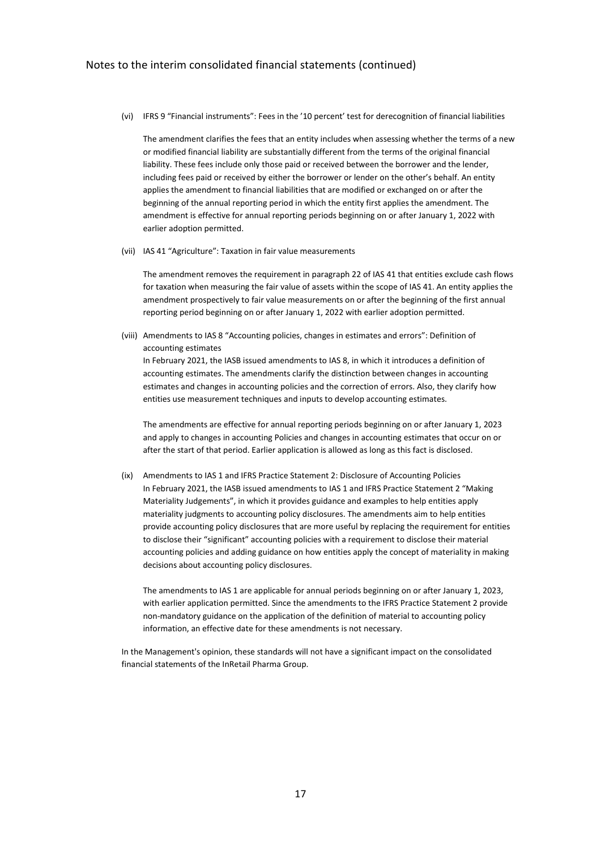(vi) IFRS 9 "Financial instruments": Fees in the '10 percent' test for derecognition of financial liabilities

The amendment clarifies the fees that an entity includes when assessing whether the terms of a new or modified financial liability are substantially different from the terms of the original financial liability. These fees include only those paid or received between the borrower and the lender, including fees paid or received by either the borrower or lender on the other's behalf. An entity applies the amendment to financial liabilities that are modified or exchanged on or after the beginning of the annual reporting period in which the entity first applies the amendment. The amendment is effective for annual reporting periods beginning on or after January 1, 2022 with earlier adoption permitted.

(vii) IAS 41 "Agriculture": Taxation in fair value measurements

The amendment removes the requirement in paragraph 22 of IAS 41 that entities exclude cash flows for taxation when measuring the fair value of assets within the scope of IAS 41. An entity applies the amendment prospectively to fair value measurements on or after the beginning of the first annual reporting period beginning on or after January 1, 2022 with earlier adoption permitted.

(viii) Amendments to IAS 8 "Accounting policies, changes in estimates and errors": Definition of accounting estimates In February 2021, the IASB issued amendments to IAS 8, in which it introduces a definition of

accounting estimates. The amendments clarify the distinction between changes in accounting estimates and changes in accounting policies and the correction of errors. Also, they clarify how entities use measurement techniques and inputs to develop accounting estimates.

The amendments are effective for annual reporting periods beginning on or after January 1, 2023 and apply to changes in accounting Policies and changes in accounting estimates that occur on or after the start of that period. Earlier application is allowed as long as this fact is disclosed.

(ix) Amendments to IAS 1 and IFRS Practice Statement 2: Disclosure of Accounting Policies In February 2021, the IASB issued amendments to IAS 1 and IFRS Practice Statement 2 "Making Materiality Judgements", in which it provides guidance and examples to help entities apply materiality judgments to accounting policy disclosures. The amendments aim to help entities provide accounting policy disclosures that are more useful by replacing the requirement for entities to disclose their "significant" accounting policies with a requirement to disclose their material accounting policies and adding guidance on how entities apply the concept of materiality in making decisions about accounting policy disclosures.

The amendments to IAS 1 are applicable for annual periods beginning on or after January 1, 2023, with earlier application permitted. Since the amendments to the IFRS Practice Statement 2 provide non-mandatory guidance on the application of the definition of material to accounting policy information, an effective date for these amendments is not necessary.

In the Management's opinion, these standards will not have a significant impact on the consolidated financial statements of the InRetail Pharma Group.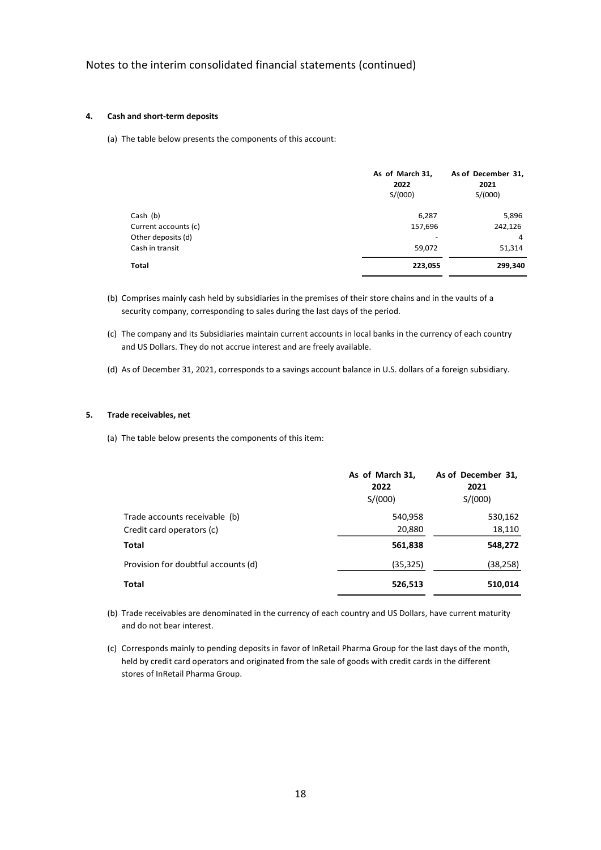### **4. Cash and short-term deposits**

(a) The table below presents the components of this account:

|                      | As of March 31,<br>2022<br>S/(000) | As of December 31,<br>2021<br>S/(000) |
|----------------------|------------------------------------|---------------------------------------|
| Cash (b)             | 6,287                              | 5,896                                 |
| Current accounts (c) | 157,696                            | 242,126                               |
| Other deposits (d)   | -                                  | 4                                     |
| Cash in transit      | 59,072                             | 51,314                                |
| Total                | 223,055                            | 299,340                               |

- (b) Comprises mainly cash held by subsidiaries in the premises of their store chains and in the vaults of a security company, corresponding to sales during the last days of the period.
- (c) The company and its Subsidiaries maintain current accounts in local banks in the currency of each country and US Dollars. They do not accrue interest and are freely available.
- (d) As of December 31, 2021, corresponds to a savings account balance in U.S. dollars of a foreign subsidiary.

### **5. Trade receivables, net**

(a) The table below presents the components of this item:

|                                     | As of March 31,<br>2022<br>S/(000) | As of December 31,<br>2021<br>S/(000) |
|-------------------------------------|------------------------------------|---------------------------------------|
| Trade accounts receivable (b)       | 540,958                            | 530,162                               |
| Credit card operators (c)           | 20,880                             | 18,110                                |
| Total                               | 561,838                            | 548,272                               |
| Provision for doubtful accounts (d) | (35,325)                           | (38,258)                              |
| Total                               | 526,513                            | 510,014                               |

- (b) Trade receivables are denominated in the currency of each country and US Dollars, have current maturity and do not bear interest.
- (c) Corresponds mainly to pending deposits in favor of InRetail Pharma Group for the last days of the month, held by credit card operators and originated from the sale of goods with credit cards in the different stores of InRetail Pharma Group.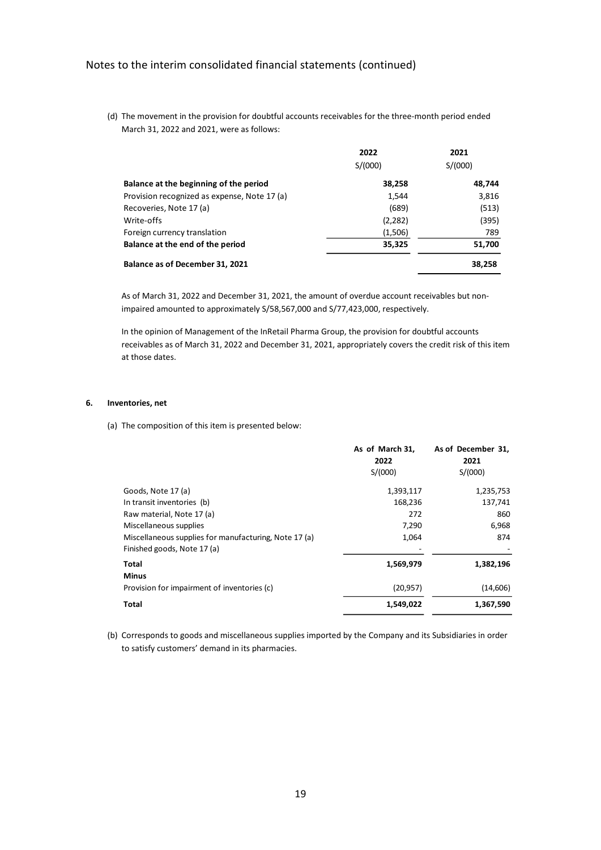(d) The movement in the provision for doubtful accounts receivables for the three-month period ended March 31, 2022 and 2021, were as follows:

|                                              | 2022    | 2021    |
|----------------------------------------------|---------|---------|
|                                              | S/(000) | S/(000) |
| Balance at the beginning of the period       | 38,258  | 48,744  |
| Provision recognized as expense, Note 17 (a) | 1,544   | 3,816   |
| Recoveries, Note 17 (a)                      | (689)   | (513)   |
| Write-offs                                   | (2,282) | (395)   |
| Foreign currency translation                 | (1,506) | 789     |
| Balance at the end of the period             | 35,325  | 51,700  |
| Balance as of December 31, 2021              |         | 38,258  |

As of March 31, 2022 and December 31, 2021, the amount of overdue account receivables but nonimpaired amounted to approximately S/58,567,000 and S/77,423,000, respectively.

In the opinion of Management of the InRetail Pharma Group, the provision for doubtful accounts receivables as of March 31, 2022 and December 31, 2021, appropriately covers the credit risk of this item at those dates.

### **6. Inventories, net**

(a) The composition of this item is presented below:

|                                                       | As of March 31,<br>2022 | As of December 31,<br>2021 |
|-------------------------------------------------------|-------------------------|----------------------------|
|                                                       | S/(000)                 | S/(000)                    |
| Goods, Note 17 (a)                                    | 1,393,117               | 1,235,753                  |
| In transit inventories (b)                            | 168,236                 | 137,741                    |
| Raw material, Note 17 (a)                             | 272                     | 860                        |
| Miscellaneous supplies                                | 7,290                   | 6,968                      |
| Miscellaneous supplies for manufacturing, Note 17 (a) | 1,064                   | 874                        |
| Finished goods, Note 17 (a)                           |                         |                            |
| Total                                                 | 1,569,979               | 1,382,196                  |
| <b>Minus</b>                                          |                         |                            |
| Provision for impairment of inventories (c)           | (20, 957)               | (14,606)                   |
| <b>Total</b>                                          | 1,549,022               | 1,367,590                  |

(b) Corresponds to goods and miscellaneous supplies imported by the Company and its Subsidiaries in order to satisfy customers' demand in its pharmacies.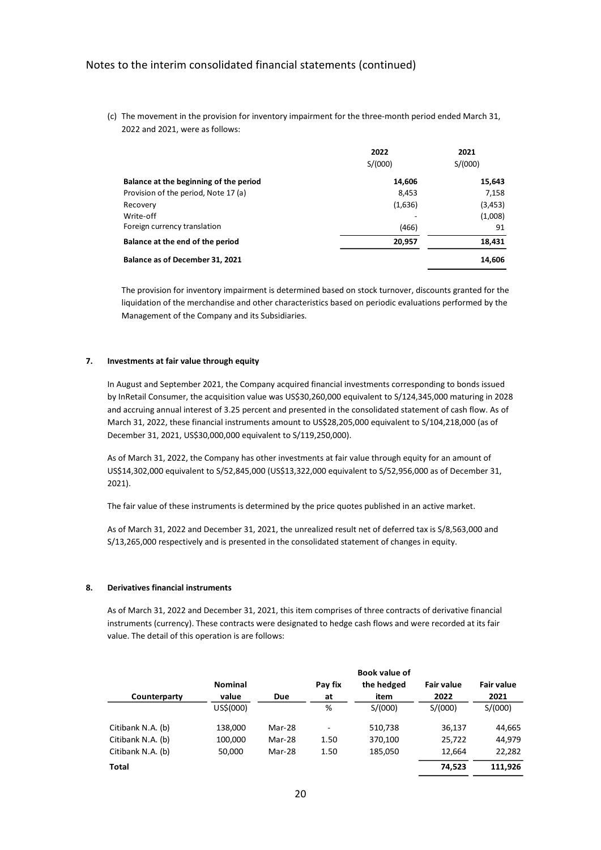(c) The movement in the provision for inventory impairment for the three-month period ended March 31, 2022 and 2021, were as follows:

|                                        | 2022    | 2021     |
|----------------------------------------|---------|----------|
|                                        | S/(000) | S/(000)  |
| Balance at the beginning of the period | 14,606  | 15,643   |
| Provision of the period, Note 17 (a)   | 8,453   | 7,158    |
| Recovery                               | (1,636) | (3, 453) |
| Write-off                              |         | (1,008)  |
| Foreign currency translation           | (466)   | 91       |
| Balance at the end of the period       | 20,957  | 18,431   |
| Balance as of December 31, 2021        |         | 14,606   |

The provision for inventory impairment is determined based on stock turnover, discounts granted for the liquidation of the merchandise and other characteristics based on periodic evaluations performed by the Management of the Company and its Subsidiaries.

### **7. Investments at fair value through equity**

In August and September 2021, the Company acquired financial investments corresponding to bonds issued by InRetail Consumer, the acquisition value was US\$30,260,000 equivalent to S/124,345,000 maturing in 2028 and accruing annual interest of 3.25 percent and presented in the consolidated statement of cash flow. As of March 31, 2022, these financial instruments amount to US\$28,205,000 equivalent to S/104,218,000 (as of December 31, 2021, US\$30,000,000 equivalent to S/119,250,000).

As of March 31, 2022, the Company has other investments at fair value through equity for an amount of US\$14,302,000 equivalent to S/52,845,000 (US\$13,322,000 equivalent to S/52,956,000 as of December 31, 2021).

The fair value of these instruments is determined by the price quotes published in an active market.

As of March 31, 2022 and December 31, 2021, the unrealized result net of deferred tax is S/8,563,000 and S/13,265,000 respectively and is presented in the consolidated statement of changes in equity.

#### **8. Derivatives financial instruments**

As of March 31, 2022 and December 31, 2021, this item comprises of three contracts of derivative financial instruments (currency). These contracts were designated to hedge cash flows and were recorded at its fair value. The detail of this operation is are follows:

|                   |                |        |         | Book value of |            |                   |
|-------------------|----------------|--------|---------|---------------|------------|-------------------|
|                   | <b>Nominal</b> |        | Pay fix | the hedged    | Fair value | <b>Fair value</b> |
| Counterparty      | value          | Due    | at      | item          | 2022       | 2021              |
|                   | US\$(000)      |        | %       | S/(000)       | S/(000)    | S/(000)           |
| Citibank N.A. (b) | 138,000        | Mar-28 | ٠       | 510,738       | 36,137     | 44,665            |
| Citibank N.A. (b) | 100,000        | Mar-28 | 1.50    | 370,100       | 25,722     | 44,979            |
| Citibank N.A. (b) | 50,000         | Mar-28 | 1.50    | 185,050       | 12,664     | 22,282            |
| Total             |                |        |         |               | 74,523     | 111,926           |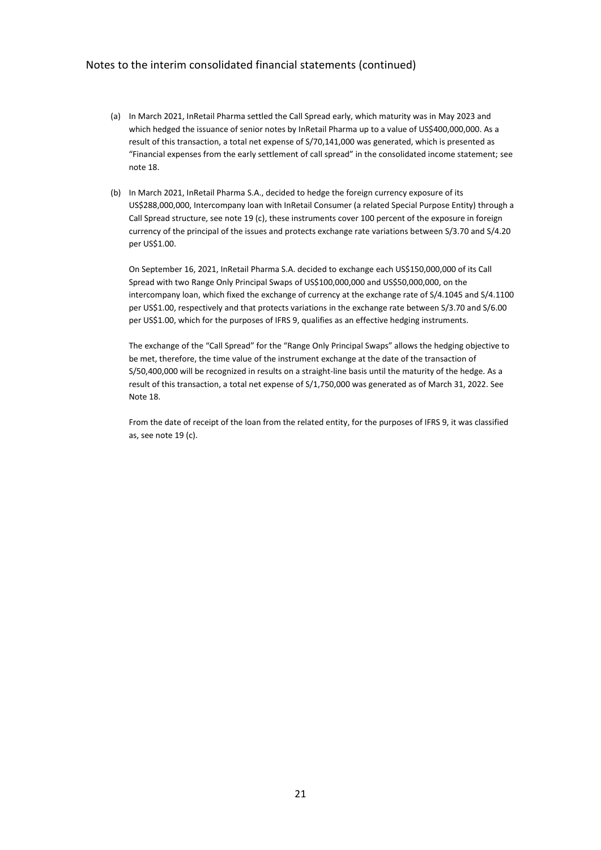- (a) In March 2021, InRetail Pharma settled the Call Spread early, which maturity was in May 2023 and which hedged the issuance of senior notes by InRetail Pharma up to a value of US\$400,000,000. As a result of this transaction, a total net expense of S/70,141,000 was generated, which is presented as "Financial expenses from the early settlement of call spread" in the consolidated income statement; see note 18.
- (b) In March 2021, InRetail Pharma S.A., decided to hedge the foreign currency exposure of its US\$288,000,000, Intercompany loan with InRetail Consumer (a related Special Purpose Entity) through a Call Spread structure, see note 19 (c), these instruments cover 100 percent of the exposure in foreign currency of the principal of the issues and protects exchange rate variations between S/3.70 and S/4.20 per US\$1.00.

On September 16, 2021, InRetail Pharma S.A. decided to exchange each US\$150,000,000 of its Call Spread with two Range Only Principal Swaps of US\$100,000,000 and US\$50,000,000, on the intercompany loan, which fixed the exchange of currency at the exchange rate of S/4.1045 and S/4.1100 per US\$1.00, respectively and that protects variations in the exchange rate between S/3.70 and S/6.00 per US\$1.00, which for the purposes of IFRS 9, qualifies as an effective hedging instruments.

The exchange of the "Call Spread" for the "Range Only Principal Swaps" allows the hedging objective to be met, therefore, the time value of the instrument exchange at the date of the transaction of S/50,400,000 will be recognized in results on a straight-line basis until the maturity of the hedge. As a result of this transaction, a total net expense of S/1,750,000 was generated as of March 31, 2022. See Note 18.

From the date of receipt of the loan from the related entity, for the purposes of IFRS 9, it was classified as, see note 19 (c).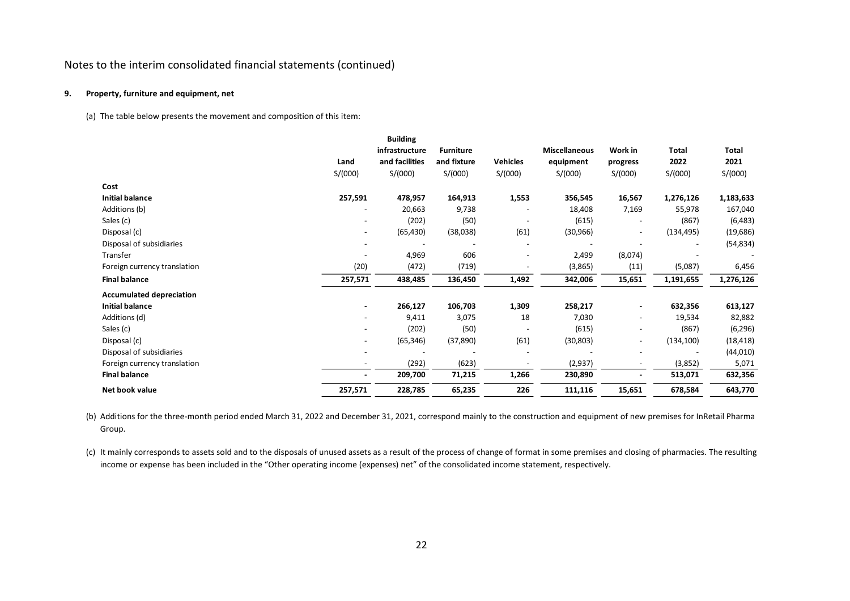### **9. Property, furniture and equipment, net**

(a) The table below presents the movement and composition of this item:

|                                 |                              | <b>Building</b> |                  |                          |                      |                          |            |           |
|---------------------------------|------------------------------|-----------------|------------------|--------------------------|----------------------|--------------------------|------------|-----------|
|                                 |                              | infrastructure  | <b>Furniture</b> |                          | <b>Miscellaneous</b> | Work in                  | Total      | Total     |
|                                 | Land                         | and facilities  | and fixture      | <b>Vehicles</b>          | equipment            | progress                 | 2022       | 2021      |
|                                 | S/(000)                      | S/(000)         | S/(000)          | S/(000)                  | S/(000)              | S/(000)                  | S/(000)    | S/(000)   |
| Cost                            |                              |                 |                  |                          |                      |                          |            |           |
| <b>Initial balance</b>          | 257,591                      | 478,957         | 164,913          | 1,553                    | 356,545              | 16,567                   | 1,276,126  | 1,183,633 |
| Additions (b)                   | $\qquad \qquad \blacksquare$ | 20,663          | 9,738            |                          | 18,408               | 7,169                    | 55,978     | 167,040   |
| Sales (c)                       | $\qquad \qquad \blacksquare$ | (202)           | (50)             |                          | (615)                | $\overline{a}$           | (867)      | (6,483)   |
| Disposal (c)                    | $\qquad \qquad \blacksquare$ | (65, 430)       | (38,038)         | (61)                     | (30, 966)            | $\overline{a}$           | (134, 495) | (19,686)  |
| Disposal of subsidiaries        |                              |                 |                  |                          |                      |                          |            | (54, 834) |
| Transfer                        |                              | 4,969           | 606              | $\overline{\phantom{a}}$ | 2,499                | (8,074)                  |            |           |
| Foreign currency translation    | (20)                         | (472)           | (719)            |                          | (3,865)              | (11)                     | (5,087)    | 6,456     |
| <b>Final balance</b>            | 257,571                      | 438,485         | 136,450          | 1,492                    | 342,006              | 15,651                   | 1,191,655  | 1,276,126 |
| <b>Accumulated depreciation</b> |                              |                 |                  |                          |                      |                          |            |           |
| <b>Initial balance</b>          | ۰                            | 266,127         | 106,703          | 1,309                    | 258,217              | $\blacksquare$           | 632,356    | 613,127   |
| Additions (d)                   | $\overline{\phantom{0}}$     | 9,411           | 3,075            | 18                       | 7,030                | $\overline{\phantom{a}}$ | 19,534     | 82,882    |
| Sales (c)                       | ۰                            | (202)           | (50)             |                          | (615)                | -                        | (867)      | (6, 296)  |
| Disposal (c)                    |                              | (65, 346)       | (37, 890)        | (61)                     | (30, 803)            | $\overline{a}$           | (134, 100) | (18, 418) |
| Disposal of subsidiaries        | $\overline{a}$               |                 |                  | $\overline{\phantom{a}}$ |                      | $\overline{a}$           |            | (44, 010) |
| Foreign currency translation    | $\overline{\phantom{a}}$     | (292)           | (623)            |                          | (2,937)              | $\overline{\phantom{a}}$ | (3,852)    | 5,071     |
| <b>Final balance</b>            |                              | 209,700         | 71,215           | 1,266                    | 230,890              | $\blacksquare$           | 513,071    | 632,356   |
| Net book value                  | 257,571                      | 228,785         | 65,235           | 226                      | 111,116              | 15,651                   | 678,584    | 643,770   |

(b) Additions for the three-month period ended March 31, 2022 and December 31, 2021, correspond mainly to the construction and equipment of new premises for InRetail Pharma Group.

(c) It mainly corresponds to assets sold and to the disposals of unused assets as a result of the process of change of format in some premises and closing of pharmacies. The resulting income or expense has been included in the "Other operating income (expenses) net" of the consolidated income statement, respectively.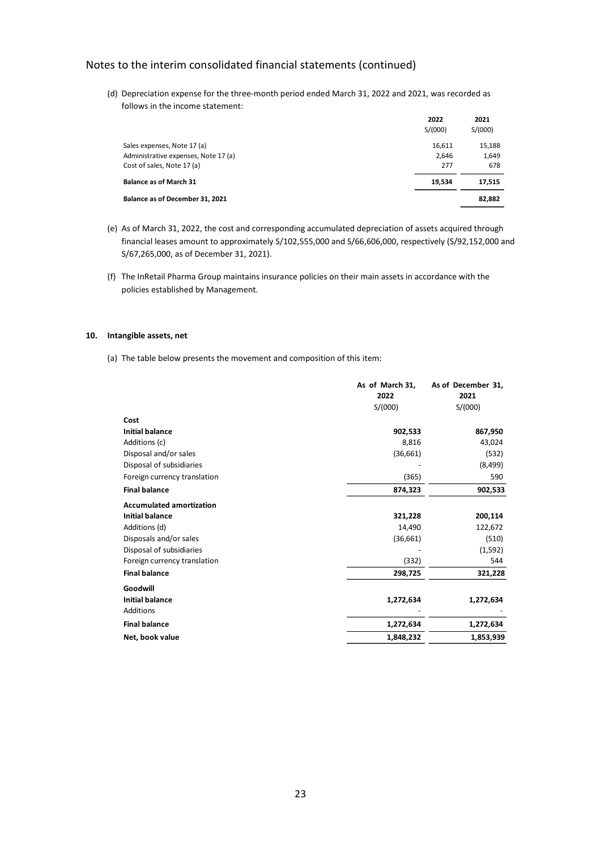(d) Depreciation expense for the three-month period ended March 31, 2022 and 2021, was recorded as follows in the income statement:

|                                      | 2022<br>S/(000) | 2021<br>S/(000) |
|--------------------------------------|-----------------|-----------------|
| Sales expenses, Note 17 (a)          | 16,611          | 15,188          |
| Administrative expenses, Note 17 (a) | 2.646           | 1,649           |
| Cost of sales, Note 17 (a)           | 277             | 678             |
| <b>Balance as of March 31</b>        | 19,534          | 17,515          |
| Balance as of December 31, 2021      |                 | 82,882          |

- (e) As of March 31, 2022, the cost and corresponding accumulated depreciation of assets acquired through financial leases amount to approximately S/102,555,000 and S/66,606,000, respectively (S/92,152,000 and S/67,265,000, as of December 31, 2021).
- (f) The InRetail Pharma Group maintains insurance policies on their main assets in accordance with the policies established by Management.

### **10. Intangible assets, net**

(a) The table below presents the movement and composition of this item:

| As of March 31, | As of December 31, |
|-----------------|--------------------|
| 2022            | 2021               |
| S/(000)         | S/(000)            |
|                 |                    |
| 902,533         | 867,950            |
| 8,816           | 43,024             |
| (36,661)        | (532)              |
|                 | (8,499)            |
| (365)           | 590                |
| 874,323         | 902,533            |
|                 |                    |
| 321,228         | 200,114            |
| 14,490          | 122,672            |
| (36,661)        | (510)              |
|                 | (1,592)            |
| (332)           | 544                |
| 298,725         | 321,228            |
|                 |                    |
| 1,272,634       | 1,272,634          |
|                 |                    |
| 1,272,634       | 1,272,634          |
| 1,848,232       | 1,853,939          |
|                 |                    |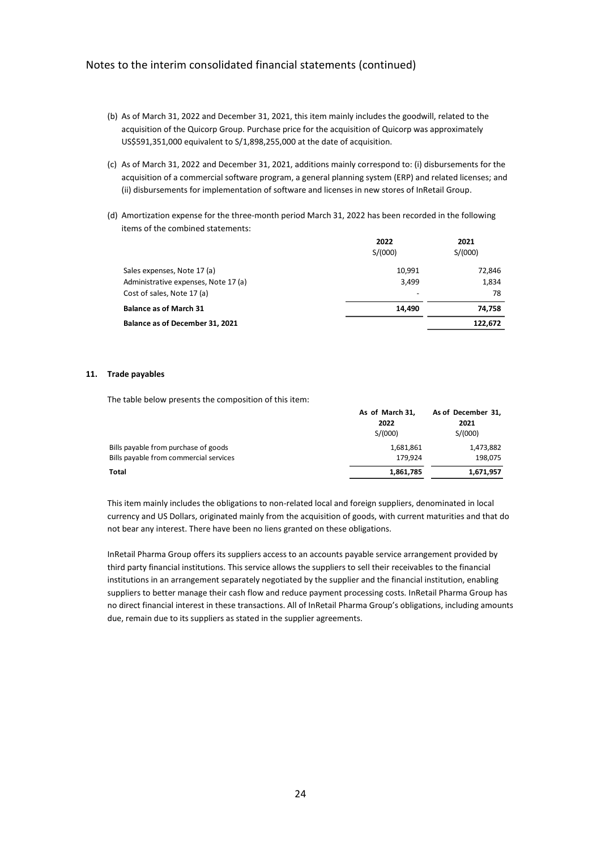- (b) As of March 31, 2022 and December 31, 2021, this item mainly includes the goodwill, related to the acquisition of the Quicorp Group. Purchase price for the acquisition of Quicorp was approximately US\$591,351,000 equivalent to S/1,898,255,000 at the date of acquisition.
- (c) As of March 31, 2022 and December 31, 2021, additions mainly correspond to: (i) disbursements for the acquisition of a commercial software program, a general planning system (ERP) and related licenses; and (ii) disbursements for implementation of software and licenses in new stores of InRetail Group.
- (d) Amortization expense for the three-month period March 31, 2022 has been recorded in the following items of the combined statements:

|                                        | 2022<br>S/(000) | 2021<br>S/(000) |
|----------------------------------------|-----------------|-----------------|
| Sales expenses, Note 17 (a)            | 10.991          | 72,846          |
| Administrative expenses, Note 17 (a)   | 3,499           | 1,834           |
| Cost of sales, Note 17 (a)             | $\overline{a}$  | 78              |
| <b>Balance as of March 31</b>          | 14.490          | 74,758          |
| <b>Balance as of December 31, 2021</b> |                 | 122,672         |

### **11. Trade payables**

The table below presents the composition of this item:

|                                        | As of March 31, | As of December 31, |
|----------------------------------------|-----------------|--------------------|
|                                        | 2022            | 2021               |
|                                        | S/(000)         | S/(000)            |
| Bills payable from purchase of goods   | 1,681,861       | 1,473,882          |
| Bills payable from commercial services | 179.924         | 198,075            |
| Total                                  | 1,861,785       | 1,671,957          |

This item mainly includes the obligations to non-related local and foreign suppliers, denominated in local currency and US Dollars, originated mainly from the acquisition of goods, with current maturities and that do not bear any interest. There have been no liens granted on these obligations.

InRetail Pharma Group offers its suppliers access to an accounts payable service arrangement provided by third party financial institutions. This service allows the suppliers to sell their receivables to the financial institutions in an arrangement separately negotiated by the supplier and the financial institution, enabling suppliers to better manage their cash flow and reduce payment processing costs. InRetail Pharma Group has no direct financial interest in these transactions. All of InRetail Pharma Group's obligations, including amounts due, remain due to its suppliers as stated in the supplier agreements.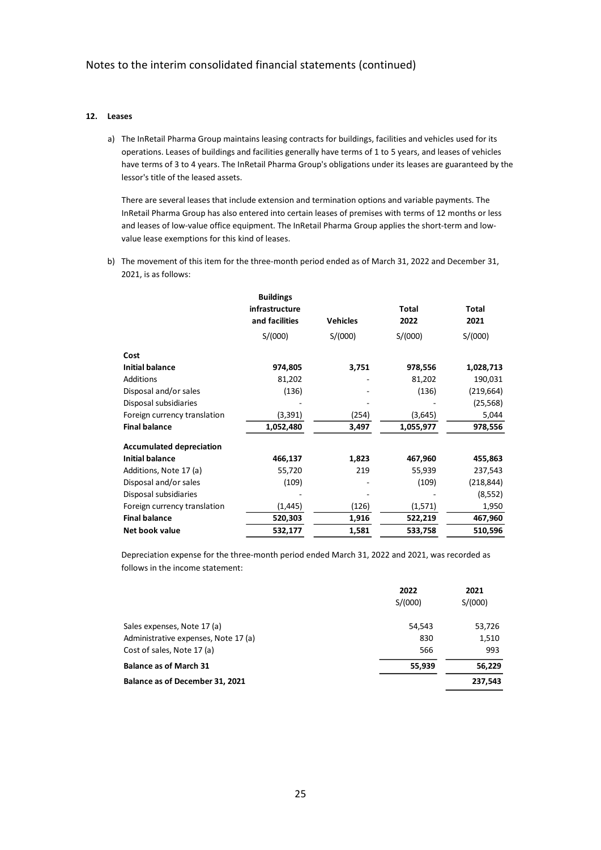### **12. Leases**

a) The InRetail Pharma Group maintains leasing contracts for buildings, facilities and vehicles used for its operations. Leases of buildings and facilities generally have terms of 1 to 5 years, and leases of vehicles have terms of 3 to 4 years. The InRetail Pharma Group's obligations under its leases are guaranteed by the lessor's title of the leased assets.

There are several leases that include extension and termination options and variable payments. The InRetail Pharma Group has also entered into certain leases of premises with terms of 12 months or less and leases of low-value office equipment. The InRetail Pharma Group applies the short-term and lowvalue lease exemptions for this kind of leases.

b) The movement of this item for the three-month period ended as of March 31, 2022 and December 31, 2021, is as follows:

|                                 | <b>Buildings</b> |                 |              |            |
|---------------------------------|------------------|-----------------|--------------|------------|
|                                 | infrastructure   |                 | <b>Total</b> | Total      |
|                                 | and facilities   | <b>Vehicles</b> | 2022         | 2021       |
|                                 | S/(000)          | S/(000)         | S/(000)      | S/(000)    |
| Cost                            |                  |                 |              |            |
| <b>Initial balance</b>          | 974,805          | 3,751           | 978,556      | 1,028,713  |
| Additions                       | 81,202           |                 | 81,202       | 190,031    |
| Disposal and/or sales           | (136)            |                 | (136)        | (219, 664) |
| Disposal subsidiaries           |                  |                 |              | (25, 568)  |
| Foreign currency translation    | (3,391)          | (254)           | (3,645)      | 5,044      |
| <b>Final balance</b>            | 1,052,480        | 3,497           | 1,055,977    | 978,556    |
| <b>Accumulated depreciation</b> |                  |                 |              |            |
| <b>Initial balance</b>          | 466,137          | 1,823           | 467,960      | 455,863    |
| Additions, Note 17 (a)          | 55,720           | 219             | 55,939       | 237,543    |
| Disposal and/or sales           | (109)            |                 | (109)        | (218, 844) |
| Disposal subsidiaries           |                  |                 |              | (8,552)    |
| Foreign currency translation    | (1, 445)         | (126)           | (1,571)      | 1,950      |
| <b>Final balance</b>            | 520,303          | 1,916           | 522,219      | 467,960    |
| Net book value                  | 532,177          | 1,581           | 533,758      | 510,596    |

Depreciation expense for the three-month period ended March 31, 2022 and 2021, was recorded as follows in the income statement:

|                                      | 2022    | 2021    |
|--------------------------------------|---------|---------|
|                                      | S/(000) | S/(000) |
| Sales expenses, Note 17 (a)          | 54,543  | 53,726  |
| Administrative expenses, Note 17 (a) | 830     | 1,510   |
| Cost of sales, Note 17 (a)           | 566     | 993     |
| <b>Balance as of March 31</b>        | 55,939  | 56,229  |
| Balance as of December 31, 2021      |         | 237.543 |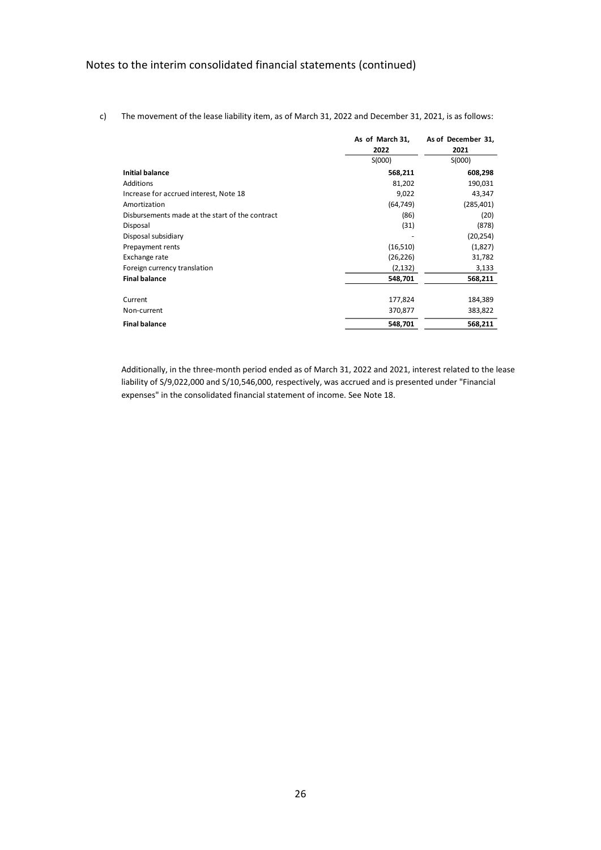|                                                 | As of March 31,<br>2022 | As of December 31,<br>2021 |
|-------------------------------------------------|-------------------------|----------------------------|
|                                                 | S(000)                  | S(000)                     |
| <b>Initial balance</b>                          | 568,211                 | 608,298                    |
| Additions                                       | 81,202                  | 190,031                    |
| Increase for accrued interest, Note 18          | 9,022                   | 43,347                     |
| Amortization                                    | (64, 749)               | (285, 401)                 |
| Disbursements made at the start of the contract | (86)                    | (20)                       |
| Disposal                                        | (31)                    | (878)                      |
| Disposal subsidiary                             |                         | (20, 254)                  |
| Prepayment rents                                | (16,510)                | (1,827)                    |
| Exchange rate                                   | (26, 226)               | 31,782                     |
| Foreign currency translation                    | (2, 132)                | 3,133                      |
| <b>Final balance</b>                            | 548,701                 | 568,211                    |
| Current                                         | 177,824                 | 184,389                    |
| Non-current                                     | 370,877                 | 383,822                    |
| <b>Final balance</b>                            | 548,701                 | 568,211                    |

c) The movement of the lease liability item, as of March 31, 2022 and December 31, 2021, is as follows:

Additionally, in the three-month period ended as of March 31, 2022 and 2021, interest related to the lease liability of S/9,022,000 and S/10,546,000, respectively, was accrued and is presented under "Financial expenses" in the consolidated financial statement of income. See Note 18.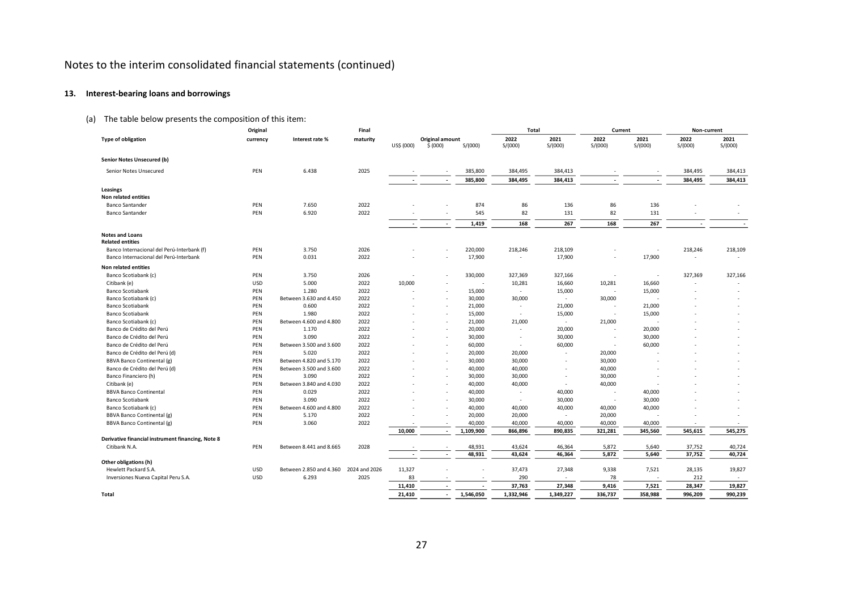# **13. Interest-bearing loans and borrowings**

# (a) The table below presents the composition of this item:

|                                                                 | Original   |                                  | Final         |                          |                             |                          | Total                    |                          | Current          |                          | Non-current     |                 |
|-----------------------------------------------------------------|------------|----------------------------------|---------------|--------------------------|-----------------------------|--------------------------|--------------------------|--------------------------|------------------|--------------------------|-----------------|-----------------|
| <b>Type of obligation</b>                                       | currency   | Interest rate %                  | maturity      | US\$ (000)               | Original amount<br>\$ (000) | S/(000)                  | 2022<br>S/(000)          | 2021<br>S/(000)          | 2022<br>S/(000)  | 2021<br>S/(000)          | 2022<br>S/(000) | 2021<br>S/(000) |
| <b>Senior Notes Unsecured (b)</b>                               |            |                                  |               |                          |                             |                          |                          |                          |                  |                          |                 |                 |
| Senior Notes Unsecured                                          | PEN        | 6.438                            | 2025          |                          |                             | 385,800                  | 384,495                  | 384,413                  |                  |                          | 384,495         | 384,413         |
|                                                                 |            |                                  |               |                          |                             | 385,800                  | 384,495                  | 384,413                  |                  |                          | 384,495         | 384,413         |
| <b>Leasings</b>                                                 |            |                                  |               |                          |                             |                          |                          |                          |                  |                          |                 |                 |
| Non related entities                                            |            |                                  |               |                          |                             |                          |                          |                          |                  |                          |                 |                 |
| <b>Banco Santander</b>                                          | PEN        | 7.650                            | 2022          |                          |                             | 874                      | 86                       | 136                      | 86               | 136                      |                 |                 |
| <b>Banco Santander</b>                                          | PEN        | 6.920                            | 2022          |                          | $\overline{\phantom{a}}$    | 545                      | 82                       | 131                      | 82               | 131                      |                 |                 |
|                                                                 |            |                                  |               | $\overline{\phantom{a}}$ | $\overline{\phantom{a}}$    | 1,419                    | 168                      | 267                      | 168              | 267                      |                 |                 |
| <b>Notes and Loans</b><br><b>Related entities</b>               |            |                                  |               |                          |                             |                          |                          |                          |                  |                          |                 |                 |
| Banco Internacional del Perú-Interbank (f)                      | PEN        | 3.750                            | 2026          |                          |                             | 220,000                  | 218,246                  | 218,109                  |                  | $\overline{\phantom{a}}$ | 218,246         | 218,109         |
| Banco Internacional del Perú-Interbank                          | PEN        | 0.031                            | 2022          |                          |                             | 17,900                   | $\overline{\phantom{a}}$ | 17,900                   |                  | 17,900                   | $\sim$          |                 |
| <b>Non related entities</b>                                     |            |                                  |               |                          |                             |                          |                          |                          |                  |                          |                 |                 |
| Banco Scotiabank (c)                                            | PEN        | 3.750                            | 2026          |                          |                             | 330,000                  | 327,369                  | 327,166                  |                  |                          | 327,369         | 327,166         |
| Citibank (e)                                                    | <b>USD</b> | 5.000                            | 2022          | 10,000                   |                             |                          | 10,281                   | 16,660                   | 10,281           | 16,660                   |                 |                 |
| Banco Scotiabank                                                | PEN        | 1.280                            | 2022          |                          |                             | 15,000                   | $\sim$                   | 15,000                   |                  | 15,000                   |                 |                 |
| Banco Scotiabank (c)                                            | PEN        | Between 3.630 and 4.450          | 2022          |                          |                             | 30,000                   | 30,000                   | $\sim$                   | 30,000           |                          |                 |                 |
| <b>Banco Scotiabank</b>                                         | PEN        | 0.600                            | 2022          |                          |                             | 21,000                   | $\sim$                   | 21,000                   |                  | 21,000                   |                 |                 |
| <b>Banco Scotiabank</b>                                         | PEN        | 1.980                            | 2022          |                          |                             | 15,000                   | $\sim$                   | 15,000                   |                  | 15,000                   |                 |                 |
| Banco Scotiabank (c)                                            | PEN        | Between 4,600 and 4,800          | 2022          |                          | $\overline{\phantom{a}}$    | 21,000                   | 21,000                   | $\sim$                   | 21,000           |                          |                 |                 |
| Banco de Crédito del Perú                                       | PEN        | 1.170                            | 2022          |                          |                             | 20,000                   | <b>COL</b>               | 20,000                   |                  | 20,000                   |                 |                 |
| Banco de Crédito del Perú                                       | PEN        | 3.090                            | 2022          |                          |                             | 30,000                   | $\sim$                   | 30,000                   |                  | 30,000                   |                 |                 |
| Banco de Crédito del Perú                                       | PEN        | Between 3.500 and 3.600          | 2022          |                          |                             | 60,000                   | $\sim$                   | 60,000                   |                  | 60,000                   |                 |                 |
| Banco de Crédito del Perú (d)                                   | PEN        | 5.020                            | 2022          |                          | $\overline{\phantom{a}}$    | 20,000                   | 20,000                   |                          | 20,000           |                          |                 |                 |
| <b>BBVA Banco Continental (g)</b>                               | PEN        | Between 4.820 and 5.170          | 2022          |                          | $\overline{\phantom{a}}$    | 30,000                   | 30,000                   | $\overline{\phantom{a}}$ | 30,000           |                          |                 |                 |
| Banco de Crédito del Perú (d)                                   | PEN        | Between 3.500 and 3.600          | 2022          |                          |                             | 40,000                   | 40,000                   |                          | 40,000           |                          |                 |                 |
| Banco Financiero (h)                                            | PEN        | 3.090                            | 2022          |                          | $\overline{\phantom{a}}$    | 30,000                   | 30,000                   | ٠                        | 30,000           |                          |                 |                 |
| Citibank (e)                                                    | PEN        | Between 3.840 and 4.030          | 2022          |                          |                             | 40,000                   | 40,000                   | $\overline{\phantom{a}}$ | 40,000           |                          |                 |                 |
| <b>BBVA Banco Continental</b>                                   | PEN        | 0.029                            | 2022          |                          |                             | 40,000                   | $\sim$                   | 40,000                   |                  | 40,000                   |                 |                 |
| <b>Banco Scotiabank</b>                                         | PEN        | 3.090                            | 2022          |                          |                             | 30,000                   | $\sim$                   | 30,000                   |                  | 30,000                   |                 |                 |
| Banco Scotiabank (c)                                            | PEN<br>PEN | Between 4.600 and 4.800<br>5.170 | 2022<br>2022  |                          |                             | 40,000                   | 40,000                   | 40,000                   | 40,000           | 40,000                   |                 |                 |
| BBVA Banco Continental (g)<br><b>BBVA Banco Continental (g)</b> | PEN        | 3.060                            | 2022          |                          |                             | 20,000<br>40,000         | 20,000<br>40,000         | $\sim$<br>40,000         | 20,000<br>40,000 | 40,000                   |                 |                 |
|                                                                 |            |                                  |               | 10,000                   | $\overline{\phantom{a}}$    | 1,109,900                | 866,896                  | 890,835                  | 321,281          | 345,560                  | 545,615         | 545,275         |
| Derivative financial instrument financing, Note 8               |            |                                  |               |                          |                             |                          |                          |                          |                  |                          |                 |                 |
| Citibank N.A.                                                   | PEN        | Between 8.441 and 8.665          | 2028          |                          |                             | 48,931                   | 43,624                   | 46,364                   | 5,872            | 5,640                    | 37,752          | 40,724          |
|                                                                 |            |                                  |               | $\overline{\phantom{a}}$ | $\overline{\phantom{a}}$    | 48,931                   | 43,624                   | 46,364                   | 5,872            | 5,640                    | 37,752          | 40,724          |
| Other obligations (h)                                           |            |                                  |               |                          |                             |                          |                          |                          |                  |                          |                 |                 |
| Hewlett Packard S.A.                                            | <b>USD</b> | Between 2.850 and 4.360          | 2024 and 2026 | 11,327                   |                             |                          | 37,473                   | 27,348                   | 9,338            | 7,521                    | 28,135          | 19,827          |
| Inversiones Nueva Capital Peru S.A.                             | <b>USD</b> | 6.293                            | 2025          | 83                       |                             |                          | 290                      |                          | 78               |                          | 212             |                 |
|                                                                 |            |                                  |               | 11,410                   | $\overline{\phantom{a}}$    | $\overline{\phantom{a}}$ | 37,763                   | 27,348                   | 9,416            | 7,521                    | 28,347          | 19,827          |
| Total                                                           |            |                                  |               | 21,410                   |                             | 1,546,050                | 1,332,946                | 1,349,227                | 336,737          | 358.988                  | 996,209         | 990.239         |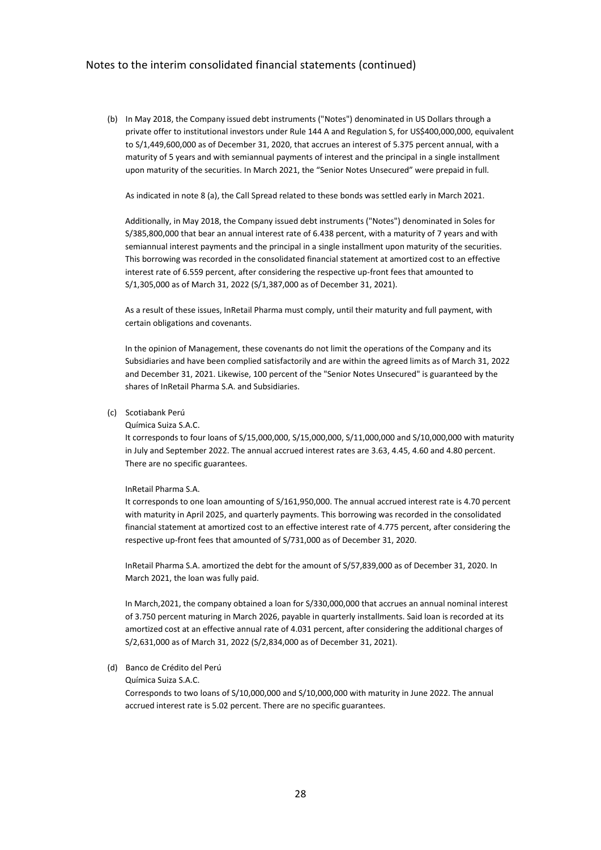(b) In May 2018, the Company issued debt instruments ("Notes") denominated in US Dollars through a private offer to institutional investors under Rule 144 A and Regulation S, for US\$400,000,000, equivalent to S/1,449,600,000 as of December 31, 2020, that accrues an interest of 5.375 percent annual, with a maturity of 5 years and with semiannual payments of interest and the principal in a single installment upon maturity of the securities. In March 2021, the "Senior Notes Unsecured" were prepaid in full.

As indicated in note 8 (a), the Call Spread related to these bonds was settled early in March 2021.

Additionally, in May 2018, the Company issued debt instruments ("Notes") denominated in Soles for S/385,800,000 that bear an annual interest rate of 6.438 percent, with a maturity of 7 years and with semiannual interest payments and the principal in a single installment upon maturity of the securities. This borrowing was recorded in the consolidated financial statement at amortized cost to an effective interest rate of 6.559 percent, after considering the respective up-front fees that amounted to S/1,305,000 as of March 31, 2022 (S/1,387,000 as of December 31, 2021).

As a result of these issues, InRetail Pharma must comply, until their maturity and full payment, with certain obligations and covenants.

In the opinion of Management, these covenants do not limit the operations of the Company and its Subsidiaries and have been complied satisfactorily and are within the agreed limits as of March 31, 2022 and December 31, 2021. Likewise, 100 percent of the "Senior Notes Unsecured" is guaranteed by the shares of InRetail Pharma S.A. and Subsidiaries.

### (c) Scotiabank Perú

#### Química Suiza S.A.C.

It corresponds to four loans of S/15,000,000, S/15,000,000, S/11,000,000 and S/10,000,000 with maturity in July and September 2022. The annual accrued interest rates are 3.63, 4.45, 4.60 and 4.80 percent. There are no specific guarantees.

#### InRetail Pharma S.A.

It corresponds to one loan amounting of S/161,950,000. The annual accrued interest rate is 4.70 percent with maturity in April 2025, and quarterly payments. This borrowing was recorded in the consolidated financial statement at amortized cost to an effective interest rate of 4.775 percent, after considering the respective up-front fees that amounted of S/731,000 as of December 31, 2020.

InRetail Pharma S.A. amortized the debt for the amount of S/57,839,000 as of December 31, 2020. In March 2021, the loan was fully paid.

In March,2021, the company obtained a loan for S/330,000,000 that accrues an annual nominal interest of 3.750 percent maturing in March 2026, payable in quarterly installments. Said loan is recorded at its amortized cost at an effective annual rate of 4.031 percent, after considering the additional charges of S/2,631,000 as of March 31, 2022 (S/2,834,000 as of December 31, 2021).

### (d) Banco de Crédito del Perú

Química Suiza S.A.C.

Corresponds to two loans of S/10,000,000 and S/10,000,000 with maturity in June 2022. The annual accrued interest rate is 5.02 percent. There are no specific guarantees.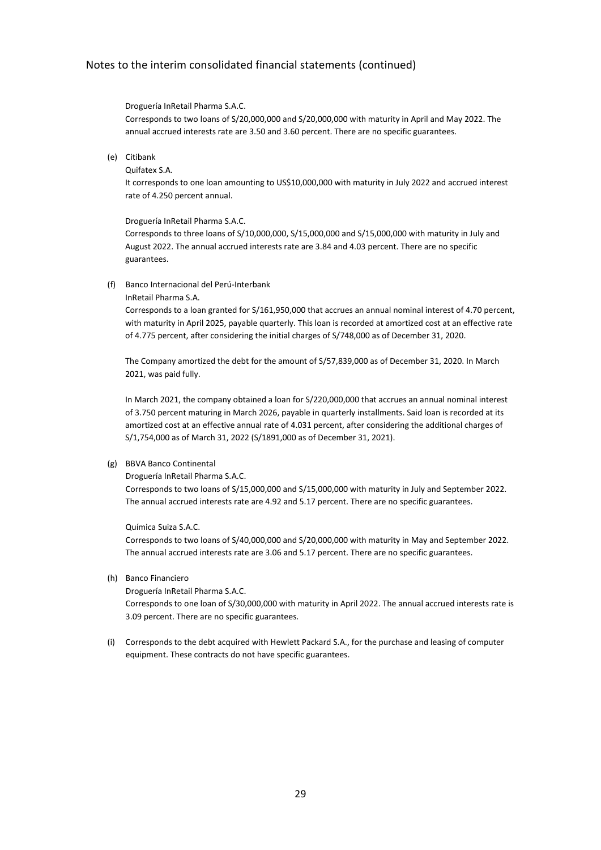#### Droguería InRetail Pharma S.A.C.

Corresponds to two loans of S/20,000,000 and S/20,000,000 with maturity in April and May 2022. The annual accrued interests rate are 3.50 and 3.60 percent. There are no specific guarantees.

(e) Citibank

Quifatex S.A.

It corresponds to one loan amounting to US\$10,000,000 with maturity in July 2022 and accrued interest rate of 4.250 percent annual.

Droguería InRetail Pharma S.A.C.

Corresponds to three loans of S/10,000,000, S/15,000,000 and S/15,000,000 with maturity in July and August 2022. The annual accrued interests rate are 3.84 and 4.03 percent. There are no specific guarantees.

### (f) Banco Internacional del Perú-Interbank

#### InRetail Pharma S.A.

Corresponds to a loan granted for S/161,950,000 that accrues an annual nominal interest of 4.70 percent, with maturity in April 2025, payable quarterly. This loan is recorded at amortized cost at an effective rate of 4.775 percent, after considering the initial charges of S/748,000 as of December 31, 2020.

The Company amortized the debt for the amount of S/57,839,000 as of December 31, 2020. In March 2021, was paid fully.

In March 2021, the company obtained a loan for S/220,000,000 that accrues an annual nominal interest of 3.750 percent maturing in March 2026, payable in quarterly installments. Said loan is recorded at its amortized cost at an effective annual rate of 4.031 percent, after considering the additional charges of S/1,754,000 as of March 31, 2022 (S/1891,000 as of December 31, 2021).

### (g) BBVA Banco Continental

Droguería InRetail Pharma S.A.C.

Corresponds to two loans of S/15,000,000 and S/15,000,000 with maturity in July and September 2022. The annual accrued interests rate are 4.92 and 5.17 percent. There are no specific guarantees.

Química Suiza S.A.C.

Corresponds to two loans of S/40,000,000 and S/20,000,000 with maturity in May and September 2022. The annual accrued interests rate are 3.06 and 5.17 percent. There are no specific guarantees.

(h) Banco Financiero

Droguería InRetail Pharma S.A.C.

Corresponds to one loan of S/30,000,000 with maturity in April 2022. The annual accrued interests rate is 3.09 percent. There are no specific guarantees.

(i) Corresponds to the debt acquired with Hewlett Packard S.A., for the purchase and leasing of computer equipment. These contracts do not have specific guarantees.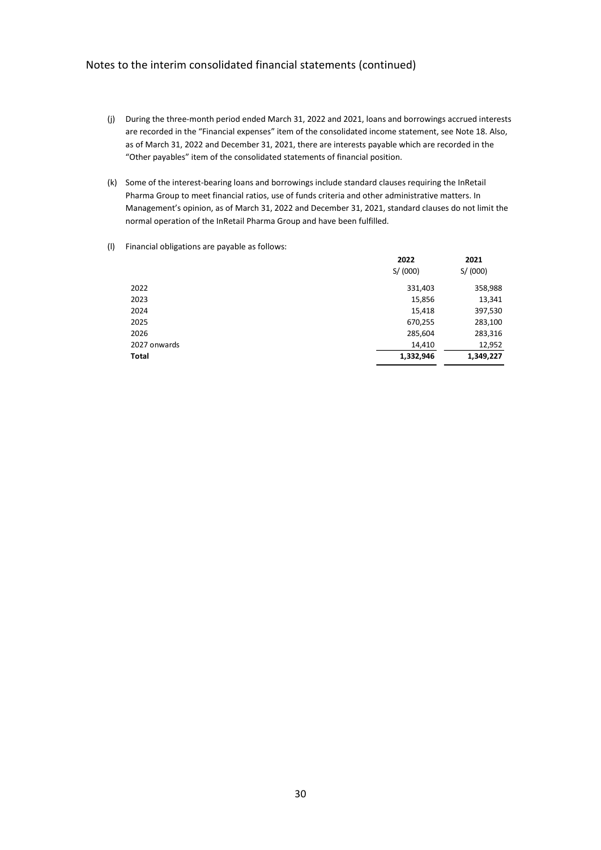- (j) During the three-month period ended March 31, 2022 and 2021, loans and borrowings accrued interests are recorded in the "Financial expenses" item of the consolidated income statement, see Note 18. Also, as of March 31, 2022 and December 31, 2021, there are interests payable which are recorded in the "Other payables" item of the consolidated statements of financial position.
- (k) Some of the interest-bearing loans and borrowings include standard clauses requiring the InRetail Pharma Group to meet financial ratios, use of funds criteria and other administrative matters. In Management's opinion, as of March 31, 2022 and December 31, 2021, standard clauses do not limit the normal operation of the InRetail Pharma Group and have been fulfilled.
- (l) Financial obligations are payable as follows:

|              | 2022<br>S/(000) | 2021<br>S/(000) |
|--------------|-----------------|-----------------|
| 2022         | 331,403         | 358,988         |
| 2023         | 15,856          | 13,341          |
| 2024         | 15,418          | 397,530         |
| 2025         | 670,255         | 283,100         |
| 2026         | 285,604         | 283,316         |
| 2027 onwards | 14,410          | 12,952          |
| Total        | 1,332,946       | 1,349,227       |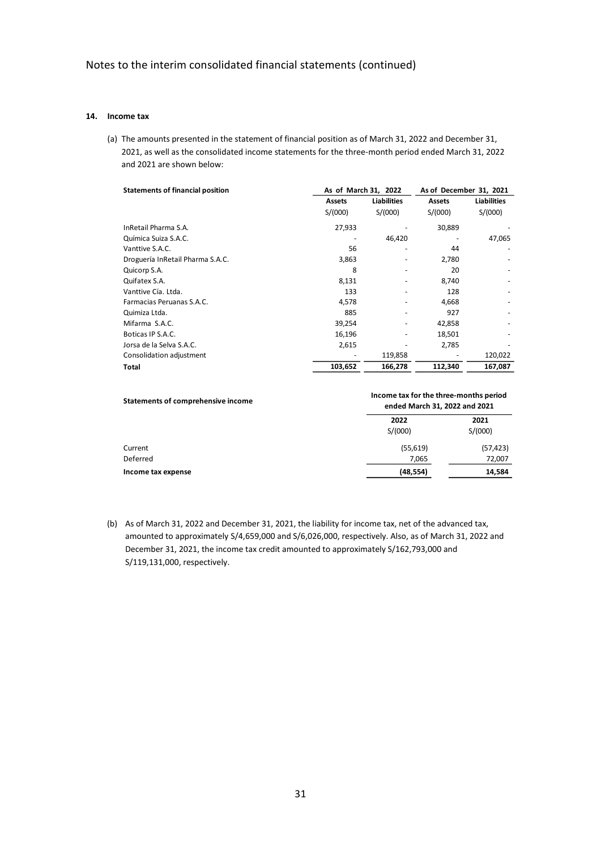### **14. Income tax**

(a) The amounts presented in the statement of financial position as of March 31, 2022 and December 31, 2021, as well as the consolidated income statements for the three-month period ended March 31, 2022 and 2021 are shown below:

| <b>Statements of financial position</b> | As of March 31, 2022 |                    |               | As of December 31, 2021 |  |  |
|-----------------------------------------|----------------------|--------------------|---------------|-------------------------|--|--|
|                                         | <b>Assets</b>        | <b>Liabilities</b> | <b>Assets</b> | <b>Liabilities</b>      |  |  |
|                                         | S/(000)              | S/(000)            | S/(000)       | S/(000)                 |  |  |
| InRetail Pharma S.A.                    | 27,933               |                    | 30,889        |                         |  |  |
| Química Suiza S.A.C.                    |                      | 46,420             |               | 47,065                  |  |  |
| Vanttive S.A.C.                         | 56                   |                    | 44            |                         |  |  |
| Droguería InRetail Pharma S.A.C.        | 3,863                |                    | 2,780         |                         |  |  |
| Quicorp S.A.                            | 8                    |                    | 20            |                         |  |  |
| Quifatex S.A.                           | 8,131                |                    | 8,740         |                         |  |  |
| Vanttive Cía. Ltda.                     | 133                  |                    | 128           |                         |  |  |
| Farmacias Peruanas S.A.C.               | 4,578                |                    | 4,668         |                         |  |  |
| Quimiza Ltda.                           | 885                  |                    | 927           |                         |  |  |
| Mifarma S.A.C.                          | 39,254               |                    | 42,858        |                         |  |  |
| Boticas IP S.A.C.                       | 16,196               |                    | 18,501        |                         |  |  |
| Jorsa de la Selva S.A.C.                | 2,615                |                    | 2,785         |                         |  |  |
| Consolidation adjustment                |                      | 119,858            |               | 120,022                 |  |  |
| Total                                   | 103,652              | 166,278            | 112,340       | 167,087                 |  |  |

| Statements of comprehensive income | Income tax for the three-months period<br>ended March 31, 2022 and 2021 |           |  |  |
|------------------------------------|-------------------------------------------------------------------------|-----------|--|--|
|                                    | 2022                                                                    | 2021      |  |  |
|                                    | S/(000)                                                                 | S/(000)   |  |  |
| Current                            | (55, 619)                                                               | (57, 423) |  |  |
| Deferred                           | 7,065                                                                   | 72,007    |  |  |
| Income tax expense                 | (48,554)                                                                | 14,584    |  |  |

(b) As of March 31, 2022 and December 31, 2021, the liability for income tax, net of the advanced tax, amounted to approximately S/4,659,000 and S/6,026,000, respectively. Also, as of March 31, 2022 and December 31, 2021, the income tax credit amounted to approximately S/162,793,000 and S/119,131,000, respectively.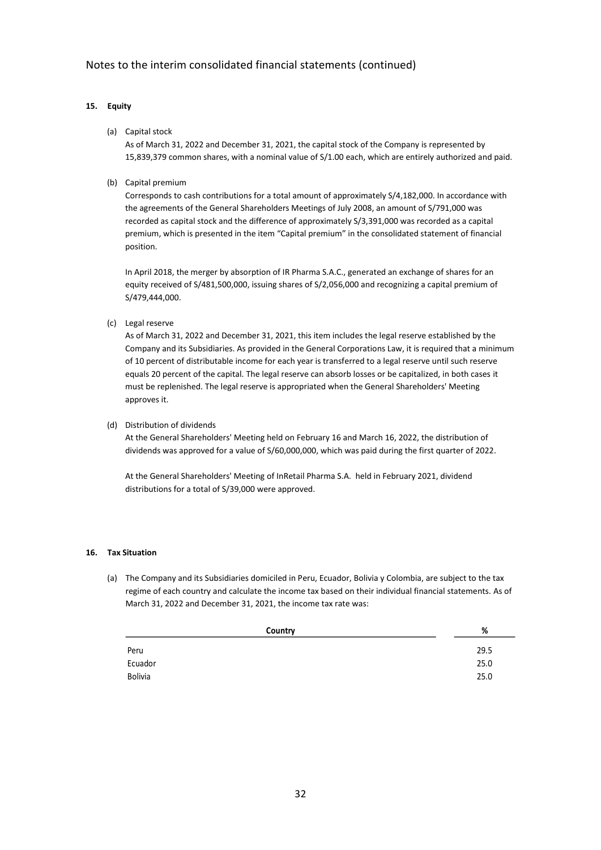# **15. Equity**

### (a) Capital stock

As of March 31, 2022 and December 31, 2021, the capital stock of the Company is represented by 15,839,379 common shares, with a nominal value of S/1.00 each, which are entirely authorized and paid.

(b) Capital premium

Corresponds to cash contributions for a total amount of approximately S/4,182,000. In accordance with the agreements of the General Shareholders Meetings of July 2008, an amount of S/791,000 was recorded as capital stock and the difference of approximately S/3,391,000 was recorded as a capital premium, which is presented in the item "Capital premium" in the consolidated statement of financial position.

In April 2018, the merger by absorption of IR Pharma S.A.C., generated an exchange of shares for an equity received of S/481,500,000, issuing shares of S/2,056,000 and recognizing a capital premium of S/479,444,000.

(c) Legal reserve

As of March 31, 2022 and December 31, 2021, this item includes the legal reserve established by the Company and its Subsidiaries. As provided in the General Corporations Law, it is required that a minimum of 10 percent of distributable income for each year is transferred to a legal reserve until such reserve equals 20 percent of the capital. The legal reserve can absorb losses or be capitalized, in both cases it must be replenished. The legal reserve is appropriated when the General Shareholders' Meeting approves it.

(d) Distribution of dividends

At the General Shareholders' Meeting held on February 16 and March 16, 2022, the distribution of dividends was approved for a value of S/60,000,000, which was paid during the first quarter of 2022.

At the General Shareholders' Meeting of InRetail Pharma S.A. held in February 2021, dividend distributions for a total of S/39,000 were approved.

### **16. Tax Situation**

(a) The Company and its Subsidiaries domiciled in Peru, Ecuador, Bolivia y Colombia, are subject to the tax regime of each country and calculate the income tax based on their individual financial statements. As of March 31, 2022 and December 31, 2021, the income tax rate was:

| Country | %    |
|---------|------|
| Peru    | 29.5 |
| Ecuador | 25.0 |
| Bolivia | 25.0 |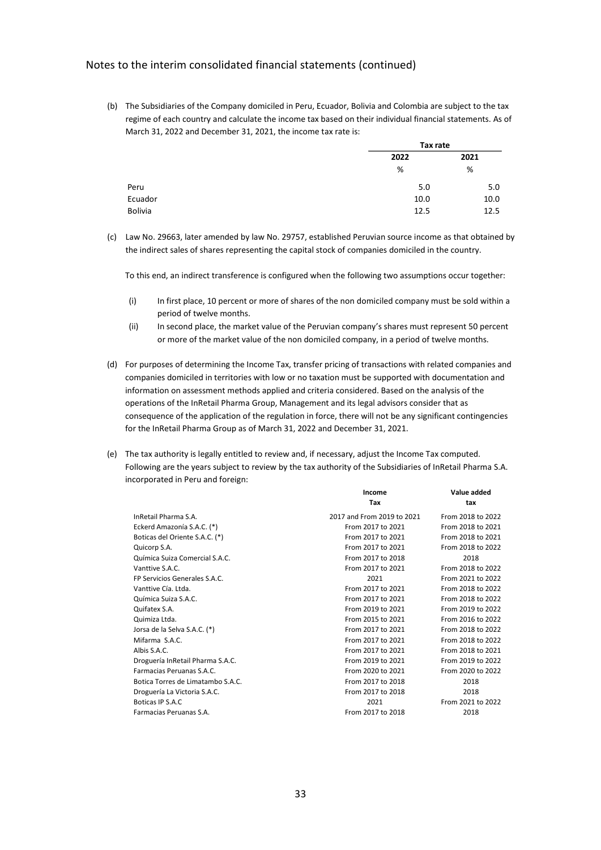(b) The Subsidiaries of the Company domiciled in Peru, Ecuador, Bolivia and Colombia are subject to the tax regime of each country and calculate the income tax based on their individual financial statements. As of March 31, 2022 and December 31, 2021, the income tax rate is:

|         | Tax rate |      |  |
|---------|----------|------|--|
|         | 2022     | 2021 |  |
|         | %        | %    |  |
| Peru    | 5.0      | 5.0  |  |
| Ecuador | 10.0     | 10.0 |  |
| Bolivia | 12.5     | 12.5 |  |

(c) Law No. 29663, later amended by law No. 29757, established Peruvian source income as that obtained by the indirect sales of shares representing the capital stock of companies domiciled in the country.

To this end, an indirect transference is configured when the following two assumptions occur together:

- (i) In first place, 10 percent or more of shares of the non domiciled company must be sold within a period of twelve months.
- (ii) In second place, the market value of the Peruvian company's shares must represent 50 percent or more of the market value of the non domiciled company, in a period of twelve months.
- (d) For purposes of determining the Income Tax, transfer pricing of transactions with related companies and companies domiciled in territories with low or no taxation must be supported with documentation and information on assessment methods applied and criteria considered. Based on the analysis of the operations of the InRetail Pharma Group, Management and its legal advisors consider that as consequence of the application of the regulation in force, there will not be any significant contingencies for the InRetail Pharma Group as of March 31, 2022 and December 31, 2021.
- (e) The tax authority is legally entitled to review and, if necessary, adjust the Income Tax computed. Following are the years subject to review by the tax authority of the Subsidiaries of InRetail Pharma S.A. incorporated in Peru and foreign:

|                                   | Income                     | Value added       |
|-----------------------------------|----------------------------|-------------------|
|                                   | Tax                        | tax               |
| InRetail Pharma S.A.              | 2017 and From 2019 to 2021 | From 2018 to 2022 |
| Eckerd Amazonía S.A.C. (*)        | From 2017 to 2021          | From 2018 to 2021 |
| Boticas del Oriente S.A.C. (*)    | From 2017 to 2021          | From 2018 to 2021 |
| Quicorp S.A.                      | From 2017 to 2021          | From 2018 to 2022 |
| Química Suiza Comercial S.A.C.    | From 2017 to 2018          | 2018              |
| Vanttive S.A.C.                   | From 2017 to 2021          | From 2018 to 2022 |
| FP Servicios Generales S.A.C.     | 2021                       | From 2021 to 2022 |
| Vanttive Cía. Ltda.               | From 2017 to 2021          | From 2018 to 2022 |
| Química Suiza S.A.C.              | From 2017 to 2021          | From 2018 to 2022 |
| Quifatex S.A.                     | From 2019 to 2021          | From 2019 to 2022 |
| Quimiza Ltda.                     | From 2015 to 2021          | From 2016 to 2022 |
| Jorsa de la Selva S.A.C. (*)      | From 2017 to 2021          | From 2018 to 2022 |
| Mifarma S.A.C.                    | From 2017 to 2021          | From 2018 to 2022 |
| Albis S.A.C.                      | From 2017 to 2021          | From 2018 to 2021 |
| Droguería InRetail Pharma S.A.C.  | From 2019 to 2021          | From 2019 to 2022 |
| Farmacias Peruanas S.A.C.         | From 2020 to 2021          | From 2020 to 2022 |
| Botica Torres de Limatambo S.A.C. | From 2017 to 2018          | 2018              |
| Droguería La Victoria S.A.C.      | From 2017 to 2018          | 2018              |
| Boticas IP S.A.C                  | 2021                       | From 2021 to 2022 |
| Farmacias Peruanas S.A.           | From 2017 to 2018          | 2018              |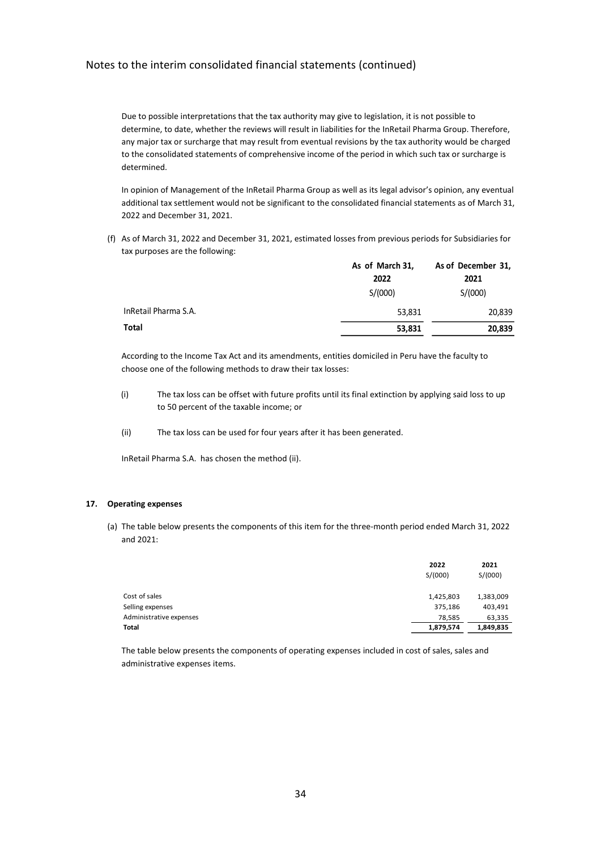Due to possible interpretations that the tax authority may give to legislation, it is not possible to determine, to date, whether the reviews will result in liabilities for the InRetail Pharma Group. Therefore, any major tax or surcharge that may result from eventual revisions by the tax authority would be charged to the consolidated statements of comprehensive income of the period in which such tax or surcharge is determined.

In opinion of Management of the InRetail Pharma Group as well as its legal advisor's opinion, any eventual additional tax settlement would not be significant to the consolidated financial statements as of March 31, 2022 and December 31, 2021.

(f) As of March 31, 2022 and December 31, 2021, estimated losses from previous periods for Subsidiaries for tax purposes are the following:

|                      | As of March 31, | As of December 31, |
|----------------------|-----------------|--------------------|
|                      | 2022            | 2021               |
|                      | S/(000)         | S/(000)            |
| InRetail Pharma S.A. | 53,831          | 20,839             |
| Total                | 53,831          | 20,839             |

According to the Income Tax Act and its amendments, entities domiciled in Peru have the faculty to choose one of the following methods to draw their tax losses:

- (i) The tax loss can be offset with future profits until its final extinction by applying said loss to up to 50 percent of the taxable income; or
- (ii) The tax loss can be used for four years after it has been generated.

InRetail Pharma S.A. has chosen the method (ii).

#### **17. Operating expenses**

(a) The table below presents the components of this item for the three-month period ended March 31, 2022 and  $2021$ 

| 2022<br>S/(000) | 2021<br>S/(000) |
|-----------------|-----------------|
| 1,425,803       | 1,383,009       |
| 375,186         | 403,491         |
| 78,585          | 63,335          |
| 1,879,574       | 1,849,835       |
|                 |                 |

The table below presents the components of operating expenses included in cost of sales, sales and administrative expenses items.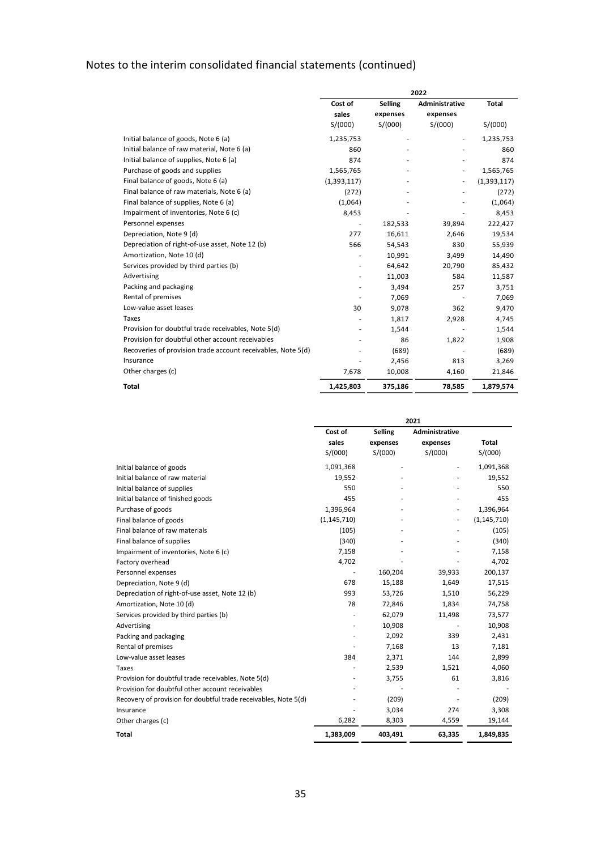|                                                              | 2022             |                     |                            |              |
|--------------------------------------------------------------|------------------|---------------------|----------------------------|--------------|
|                                                              | Cost of<br>sales | Selling<br>expenses | Administrative<br>expenses | <b>Total</b> |
|                                                              | S/(000)          | S/(000)             | S/(000)                    | S/(000)      |
| Initial balance of goods, Note 6 (a)                         | 1,235,753        |                     | ٠                          | 1,235,753    |
| Initial balance of raw material, Note 6 (a)                  | 860              |                     |                            | 860          |
| Initial balance of supplies, Note 6 (a)                      | 874              |                     |                            | 874          |
| Purchase of goods and supplies                               | 1,565,765        |                     |                            | 1,565,765    |
| Final balance of goods, Note 6 (a)                           | (1,393,117)      |                     |                            | (1,393,117)  |
| Final balance of raw materials, Note 6 (a)                   | (272)            |                     |                            | (272)        |
| Final balance of supplies, Note 6 (a)                        | (1,064)          |                     |                            | (1,064)      |
| Impairment of inventories, Note 6 (c)                        | 8,453            |                     |                            | 8,453        |
| Personnel expenses                                           |                  | 182,533             | 39,894                     | 222,427      |
| Depreciation, Note 9 (d)                                     | 277              | 16,611              | 2,646                      | 19,534       |
| Depreciation of right-of-use asset, Note 12 (b)              | 566              | 54,543              | 830                        | 55,939       |
| Amortization, Note 10 (d)                                    |                  | 10,991              | 3,499                      | 14,490       |
| Services provided by third parties (b)                       | ٠                | 64,642              | 20,790                     | 85,432       |
| Advertising                                                  |                  | 11,003              | 584                        | 11,587       |
| Packing and packaging                                        |                  | 3,494               | 257                        | 3,751        |
| Rental of premises                                           |                  | 7,069               |                            | 7,069        |
| Low-value asset leases                                       | 30               | 9,078               | 362                        | 9,470        |
| Taxes                                                        |                  | 1,817               | 2,928                      | 4,745        |
| Provision for doubtful trade receivables, Note 5(d)          |                  | 1,544               |                            | 1,544        |
| Provision for doubtful other account receivables             |                  | 86                  | 1,822                      | 1,908        |
| Recoveries of provision trade account receivables, Note 5(d) |                  | (689)               |                            | (689)        |
| Insurance                                                    |                  | 2,456               | 813                        | 3,269        |
| Other charges (c)                                            | 7,678            | 10,008              | 4,160                      | 21,846       |
| Total                                                        | 1,425,803        | 375,186             | 78,585                     | 1,879,574    |

|                                                                 | 2021          |          |                |               |
|-----------------------------------------------------------------|---------------|----------|----------------|---------------|
|                                                                 | Cost of       | Selling  | Administrative |               |
|                                                                 | sales         | expenses | expenses       | <b>Total</b>  |
|                                                                 | S/(000)       | S/(000)  | S/(000)        | S/(000)       |
| Initial balance of goods                                        | 1,091,368     |          |                | 1,091,368     |
| Initial balance of raw material                                 | 19,552        |          |                | 19,552        |
| Initial balance of supplies                                     | 550           |          |                | 550           |
| Initial balance of finished goods                               | 455           |          |                | 455           |
| Purchase of goods                                               | 1,396,964     |          |                | 1,396,964     |
| Final balance of goods                                          | (1, 145, 710) |          |                | (1, 145, 710) |
| Final balance of raw materials                                  | (105)         |          |                | (105)         |
| Final balance of supplies                                       | (340)         |          |                | (340)         |
| Impairment of inventories, Note 6 (c)                           | 7,158         |          |                | 7,158         |
| Factory overhead                                                | 4,702         |          |                | 4,702         |
| Personnel expenses                                              |               | 160,204  | 39,933         | 200,137       |
| Depreciation, Note 9 (d)                                        | 678           | 15,188   | 1,649          | 17,515        |
| Depreciation of right-of-use asset, Note 12 (b)                 | 993           | 53,726   | 1,510          | 56,229        |
| Amortization, Note 10 (d)                                       | 78            | 72,846   | 1.834          | 74,758        |
| Services provided by third parties (b)                          |               | 62,079   | 11,498         | 73,577        |
| Advertising                                                     |               | 10,908   |                | 10,908        |
| Packing and packaging                                           |               | 2,092    | 339            | 2,431         |
| Rental of premises                                              |               | 7,168    | 13             | 7,181         |
| Low-value asset leases                                          | 384           | 2,371    | 144            | 2,899         |
| Taxes                                                           |               | 2,539    | 1,521          | 4,060         |
| Provision for doubtful trade receivables, Note 5(d)             |               | 3,755    | 61             | 3,816         |
| Provision for doubtful other account receivables                |               |          |                |               |
| Recovery of provision for doubtful trade receivables, Note 5(d) |               | (209)    |                | (209)         |
| Insurance                                                       |               | 3,034    | 274            | 3,308         |
| Other charges (c)                                               | 6,282         | 8,303    | 4,559          | 19,144        |
| <b>Total</b>                                                    | 1,383,009     | 403,491  | 63,335         | 1,849,835     |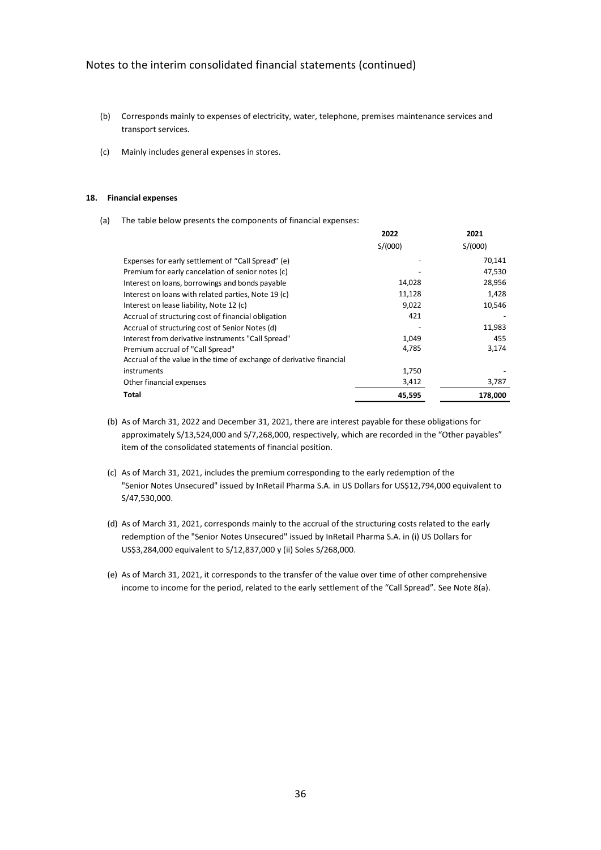- (b) Corresponds mainly to expenses of electricity, water, telephone, premises maintenance services and transport services.
- (c) Mainly includes general expenses in stores.

#### **18. Financial expenses**

(a) The table below presents the components of financial expenses:

|                                                                      | 2022    | 2021    |
|----------------------------------------------------------------------|---------|---------|
|                                                                      | S/(000) | S/(000) |
| Expenses for early settlement of "Call Spread" (e)                   |         | 70,141  |
| Premium for early cancelation of senior notes (c)                    |         | 47,530  |
| Interest on loans, borrowings and bonds payable                      | 14,028  | 28,956  |
| Interest on loans with related parties, Note 19 (c)                  | 11,128  | 1,428   |
| Interest on lease liability, Note 12 (c)                             | 9,022   | 10,546  |
| Accrual of structuring cost of financial obligation                  | 421     |         |
| Accrual of structuring cost of Senior Notes (d)                      |         | 11,983  |
| Interest from derivative instruments "Call Spread"                   | 1,049   | 455     |
| Premium accrual of "Call Spread"                                     | 4,785   | 3,174   |
| Accrual of the value in the time of exchange of derivative financial |         |         |
| instruments                                                          | 1,750   |         |
| Other financial expenses                                             | 3,412   | 3,787   |
| <b>Total</b>                                                         | 45,595  | 178,000 |

- (b) As of March 31, 2022 and December 31, 2021, there are interest payable for these obligations for approximately S/13,524,000 and S/7,268,000, respectively, which are recorded in the "Other payables" item of the consolidated statements of financial position.
- (c) As of March 31, 2021, includes the premium corresponding to the early redemption of the "Senior Notes Unsecured" issued by InRetail Pharma S.A. in US Dollars for US\$12,794,000 equivalent to S/47,530,000.
- (d) As of March 31, 2021, corresponds mainly to the accrual of the structuring costs related to the early redemption of the "Senior Notes Unsecured" issued by InRetail Pharma S.A. in (i) US Dollars for US\$3,284,000 equivalent to S/12,837,000 y (ii) Soles S/268,000.
- (e) As of March 31, 2021, it corresponds to the transfer of the value over time of other comprehensive income to income for the period, related to the early settlement of the "Call Spread". See Note 8(a).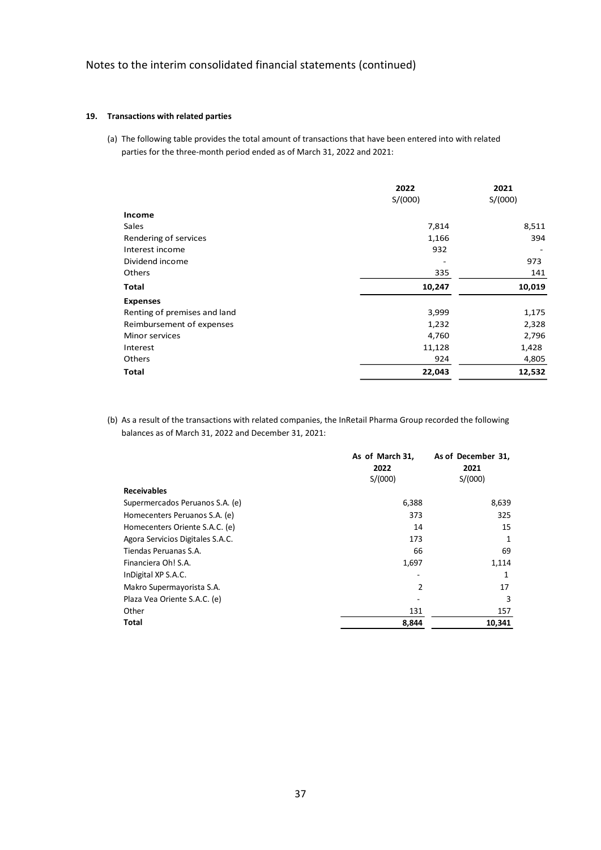### **19. Transactions with related parties**

(a) The following table provides the total amount of transactions that have been entered into with related parties for the three-month period ended as of March 31, 2022 and 2021:

|                              | 2022    | 2021    |
|------------------------------|---------|---------|
|                              | S/(000) | S/(000) |
| Income                       |         |         |
| Sales                        | 7,814   | 8,511   |
| Rendering of services        | 1,166   | 394     |
| Interest income              | 932     |         |
| Dividend income              |         | 973     |
| Others                       | 335     | 141     |
| <b>Total</b>                 | 10,247  | 10,019  |
| <b>Expenses</b>              |         |         |
| Renting of premises and land | 3,999   | 1,175   |
| Reimbursement of expenses    | 1,232   | 2,328   |
| <b>Minor services</b>        | 4,760   | 2,796   |
| Interest                     | 11,128  | 1,428   |
| Others                       | 924     | 4,805   |
| <b>Total</b>                 | 22,043  | 12,532  |

(b) As a result of the transactions with related companies, the InRetail Pharma Group recorded the following balances as of March 31, 2022 and December 31, 2021:

|                                  | As of March 31, | As of December 31, |
|----------------------------------|-----------------|--------------------|
|                                  | 2022            | 2021               |
|                                  | S/(000)         | S/(000)            |
| <b>Receivables</b>               |                 |                    |
| Supermercados Peruanos S.A. (e)  | 6,388           | 8,639              |
| Homecenters Peruanos S.A. (e)    | 373             | 325                |
| Homecenters Oriente S.A.C. (e)   | 14              | 15                 |
| Agora Servicios Digitales S.A.C. | 173             | 1                  |
| Tiendas Peruanas S.A.            | 66              | 69                 |
| Financiera Oh! S.A.              | 1,697           | 1,114              |
| InDigital XP S.A.C.              | ٠               | 1                  |
| Makro Supermayorista S.A.        | 2               | 17                 |
| Plaza Vea Oriente S.A.C. (e)     |                 | 3                  |
| Other                            | 131             | 157                |
| Total                            | 8,844           | 10,341             |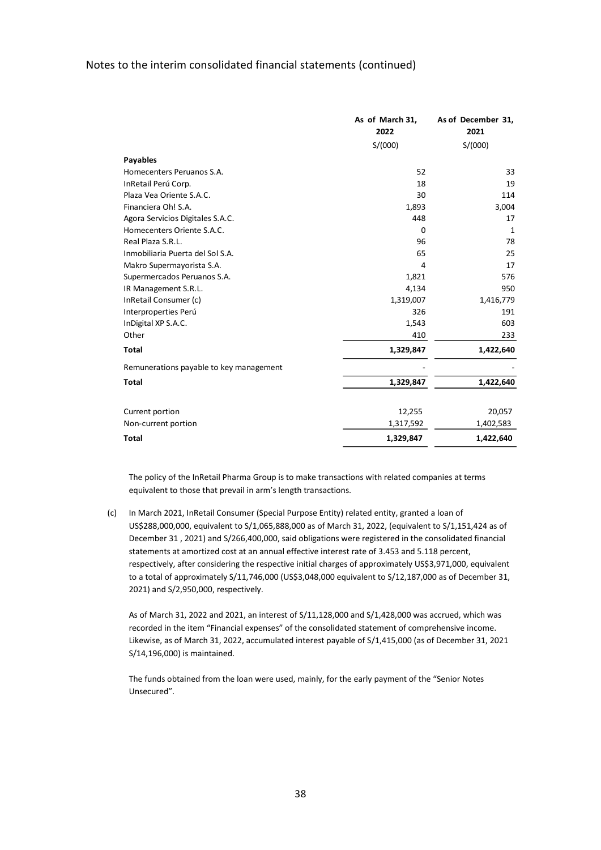|                                         | As of March 31,<br>2022 | As of December 31,<br>2021 |
|-----------------------------------------|-------------------------|----------------------------|
|                                         | S/(000)                 | S/(000)                    |
| <b>Payables</b>                         |                         |                            |
| Homecenters Peruanos S.A.               | 52                      | 33                         |
| InRetail Perú Corp.                     | 18                      | 19                         |
| Plaza Vea Oriente S.A.C.                | 30                      | 114                        |
| Financiera Oh! S.A.                     | 1,893                   | 3,004                      |
| Agora Servicios Digitales S.A.C.        | 448                     | 17                         |
| Homecenters Oriente S.A.C.              | $\Omega$                | 1                          |
| Real Plaza S.R.L.                       | 96                      | 78                         |
| Inmobiliaria Puerta del Sol S.A.        | 65                      | 25                         |
| Makro Supermayorista S.A.               | 4                       | 17                         |
| Supermercados Peruanos S.A.             | 1,821                   | 576                        |
| IR Management S.R.L.                    | 4,134                   | 950                        |
| InRetail Consumer (c)                   | 1,319,007               | 1,416,779                  |
| Interproperties Perú                    | 326                     | 191                        |
| InDigital XP S.A.C.                     | 1,543                   | 603                        |
| Other                                   | 410                     | 233                        |
| <b>Total</b>                            | 1,329,847               | 1,422,640                  |
| Remunerations payable to key management |                         |                            |
| <b>Total</b>                            | 1,329,847               | 1,422,640                  |
|                                         |                         |                            |
| Current portion                         | 12,255                  | 20,057                     |
| Non-current portion                     | 1,317,592               | 1,402,583                  |
| <b>Total</b>                            | 1,329,847               | 1,422,640                  |

The policy of the InRetail Pharma Group is to make transactions with related companies at terms equivalent to those that prevail in arm's length transactions.

(c) In March 2021, InRetail Consumer (Special Purpose Entity) related entity, granted a loan of US\$288,000,000, equivalent to S/1,065,888,000 as of March 31, 2022, (equivalent to S/1,151,424 as of December 31 , 2021) and S/266,400,000, said obligations were registered in the consolidated financial statements at amortized cost at an annual effective interest rate of 3.453 and 5.118 percent, respectively, after considering the respective initial charges of approximately US\$3,971,000, equivalent to a total of approximately S/11,746,000 (US\$3,048,000 equivalent to S/12,187,000 as of December 31, 2021) and S/2,950,000, respectively.

As of March 31, 2022 and 2021, an interest of S/11,128,000 and S/1,428,000 was accrued, which was recorded in the item "Financial expenses" of the consolidated statement of comprehensive income. Likewise, as of March 31, 2022, accumulated interest payable of S/1,415,000 (as of December 31, 2021 S/14,196,000) is maintained.

The funds obtained from the loan were used, mainly, for the early payment of the "Senior Notes Unsecured".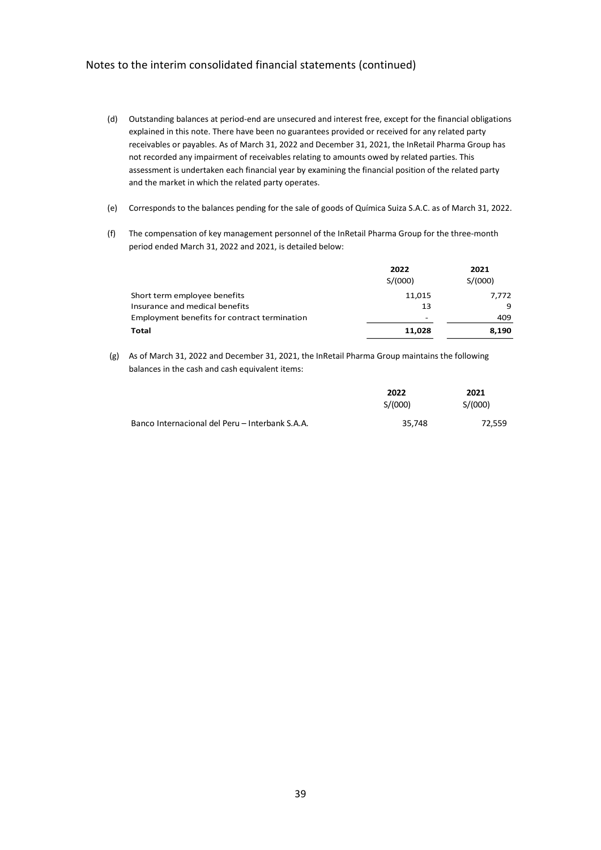- (d) Outstanding balances at period-end are unsecured and interest free, except for the financial obligations explained in this note. There have been no guarantees provided or received for any related party receivables or payables. As of March 31, 2022 and December 31, 2021, the InRetail Pharma Group has not recorded any impairment of receivables relating to amounts owed by related parties. This assessment is undertaken each financial year by examining the financial position of the related party and the market in which the related party operates.
- (e) Corresponds to the balances pending for the sale of goods of Química Suiza S.A.C. as of March 31, 2022.
- (f) The compensation of key management personnel of the InRetail Pharma Group for the three-month period ended March 31, 2022 and 2021, is detailed below:

|                                                     | 2022            | 2021    |
|-----------------------------------------------------|-----------------|---------|
|                                                     | S/(000)         | S/(000) |
| Short term employee benefits                        | 11,015          | 7,772   |
| Insurance and medical benefits                      | 13              | q       |
| <b>Employment benefits for contract termination</b> | $\qquad \qquad$ | 409     |
| Total                                               | 11.028          | 8,190   |

(g) As of March 31, 2022 and December 31, 2021, the InRetail Pharma Group maintains the following balances in the cash and cash equivalent items:

|                                                 | 2022    | 2021    |
|-------------------------------------------------|---------|---------|
|                                                 | S/(000) | S/(000) |
| Banco Internacional del Peru – Interbank S.A.A. | 35,748  | 72.559  |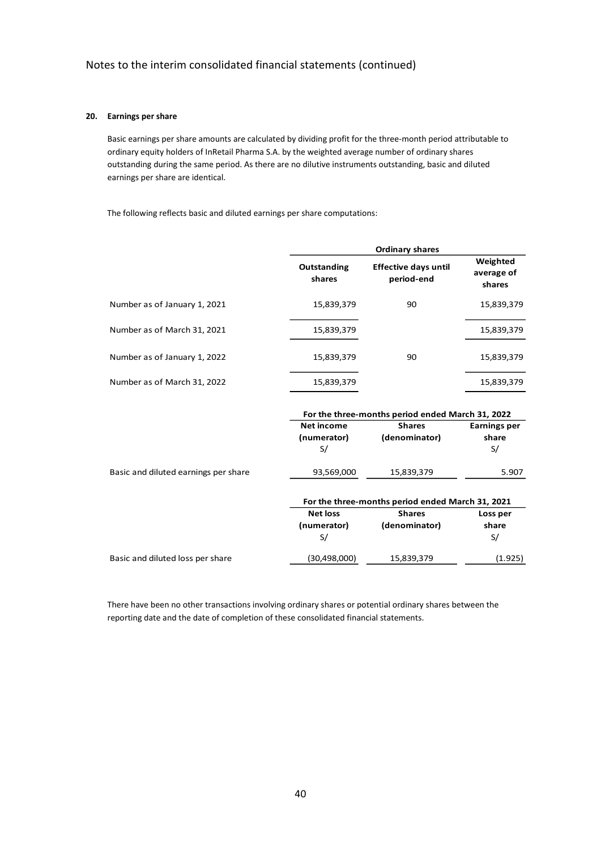### **20. Earnings per share**

Basic earnings per share amounts are calculated by dividing profit for the three-month period attributable to ordinary equity holders of InRetail Pharma S.A. by the weighted average number of ordinary shares outstanding during the same period. As there are no dilutive instruments outstanding, basic and diluted earnings per share are identical.

The following reflects basic and diluted earnings per share computations:

|                              |                       | <b>Ordinary shares</b>                    |                                  |
|------------------------------|-----------------------|-------------------------------------------|----------------------------------|
|                              | Outstanding<br>shares | <b>Effective days until</b><br>period-end | Weighted<br>average of<br>shares |
| Number as of January 1, 2021 | 15,839,379            | 90                                        | 15,839,379                       |
| Number as of March 31, 2021  | 15,839,379            |                                           | 15,839,379                       |
| Number as of January 1, 2022 | 15,839,379            | 90                                        | 15,839,379                       |
| Number as of March 31, 2022  | 15,839,379            |                                           | 15,839,379                       |

|                                      | For the three-months period ended March 31, 2022 |                                                  |                     |  |
|--------------------------------------|--------------------------------------------------|--------------------------------------------------|---------------------|--|
|                                      | <b>Net income</b>                                | <b>Shares</b>                                    | <b>Earnings per</b> |  |
|                                      | (numerator)                                      | (denominator)                                    | share               |  |
|                                      | S/                                               |                                                  | S/                  |  |
| Basic and diluted earnings per share | 93,569,000                                       | 15,839,379                                       | 5.907               |  |
|                                      |                                                  | For the three-months period ended March 31, 2021 |                     |  |
|                                      | <b>Net loss</b>                                  | <b>Shares</b>                                    | Loss per            |  |
|                                      | (numerator)                                      | (denominator)                                    | share               |  |
|                                      | S/                                               |                                                  | S/                  |  |
| Basic and diluted loss per share     | (30, 498, 000)                                   | 15,839,379                                       | (1.925)             |  |

There have been no other transactions involving ordinary shares or potential ordinary shares between the reporting date and the date of completion of these consolidated financial statements.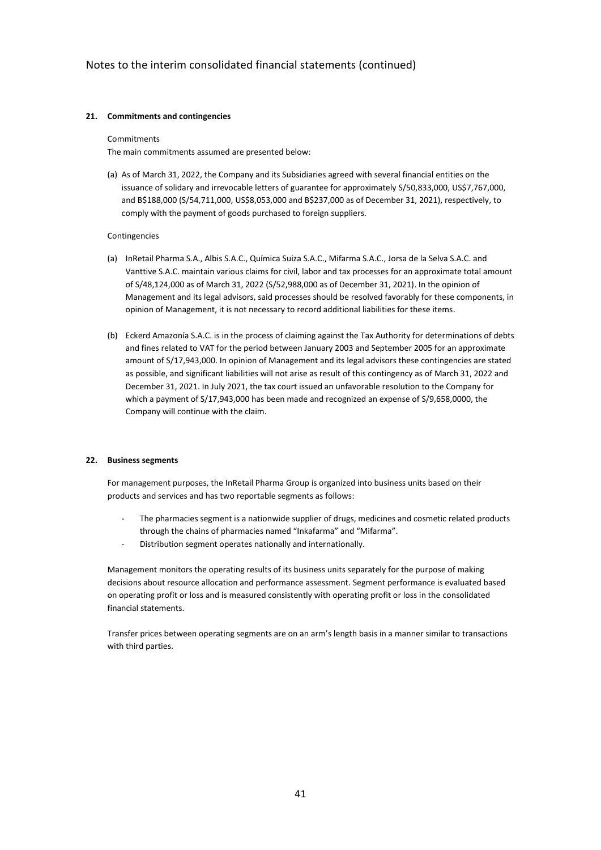### **21. Commitments and contingencies**

#### Commitments

The main commitments assumed are presented below:

(a) As of March 31, 2022, the Company and its Subsidiaries agreed with several financial entities on the issuance of solidary and irrevocable letters of guarantee for approximately S/50,833,000, US\$7,767,000, and B\$188,000 (S/54,711,000, US\$8,053,000 and B\$237,000 as of December 31, 2021), respectively, to comply with the payment of goods purchased to foreign suppliers.

### Contingencies

- (a) InRetail Pharma S.A., Albis S.A.C., Química Suiza S.A.C., Mifarma S.A.C., Jorsa de la Selva S.A.C. and Vanttive S.A.C. maintain various claims for civil, labor and tax processes for an approximate total amount of S/48,124,000 as of March 31, 2022 (S/52,988,000 as of December 31, 2021). In the opinion of Management and its legal advisors, said processes should be resolved favorably for these components, in opinion of Management, it is not necessary to record additional liabilities for these items.
- (b) Eckerd Amazonía S.A.C. is in the process of claiming against the Tax Authority for determinations of debts and fines related to VAT for the period between January 2003 and September 2005 for an approximate amount of S/17,943,000. In opinion of Management and its legal advisors these contingencies are stated as possible, and significant liabilities will not arise as result of this contingency as of March 31, 2022 and December 31, 2021. In July 2021, the tax court issued an unfavorable resolution to the Company for which a payment of S/17,943,000 has been made and recognized an expense of S/9,658,0000, the Company will continue with the claim.

### **22. Business segments**

For management purposes, the InRetail Pharma Group is organized into business units based on their products and services and has two reportable segments as follows:

- The pharmacies segment is a nationwide supplier of drugs, medicines and cosmetic related products through the chains of pharmacies named "Inkafarma" and "Mifarma".
- Distribution segment operates nationally and internationally.

Management monitors the operating results of its business units separately for the purpose of making decisions about resource allocation and performance assessment. Segment performance is evaluated based on operating profit or loss and is measured consistently with operating profit or loss in the consolidated financial statements.

Transfer prices between operating segments are on an arm's length basis in a manner similar to transactions with third parties.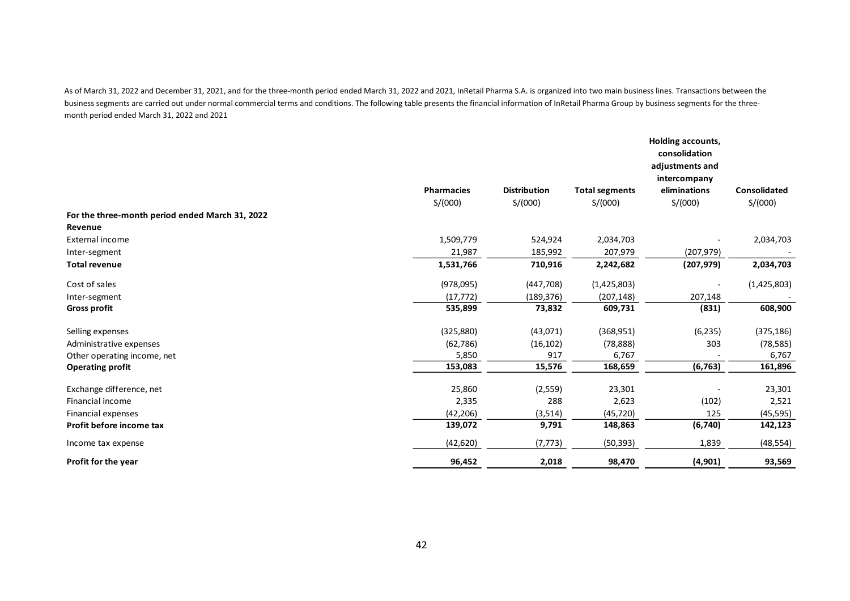As of March 31, 2022 and December 31, 2021, and for the three-month period ended March 31, 2022 and 2021, InRetail Pharma S.A. is organized into two main business lines. Transactions between the business segments are carried out under normal commercial terms and conditions. The following table presents the financial information of InRetail Pharma Group by business segments for the threemonth period ended March 31, 2022 and 2021

|                                                 |                   |                     |                       | Holding accounts,<br>consolidation<br>adjustments and<br>intercompany |                     |
|-------------------------------------------------|-------------------|---------------------|-----------------------|-----------------------------------------------------------------------|---------------------|
|                                                 | <b>Pharmacies</b> | <b>Distribution</b> | <b>Total segments</b> | eliminations                                                          | <b>Consolidated</b> |
| For the three-month period ended March 31, 2022 | S/(000)           | S/(000)             | S/(000)               | S/(000)                                                               | S/(000)             |
| Revenue                                         |                   |                     |                       |                                                                       |                     |
| External income                                 | 1,509,779         | 524,924             | 2,034,703             |                                                                       | 2,034,703           |
| Inter-segment                                   | 21,987            | 185,992             | 207,979               | (207, 979)                                                            |                     |
| <b>Total revenue</b>                            | 1,531,766         | 710,916             | 2,242,682             | (207, 979)                                                            | 2,034,703           |
| Cost of sales                                   | (978,095)         | (447,708)           | (1,425,803)           |                                                                       | (1,425,803)         |
| Inter-segment                                   | (17, 772)         | (189, 376)          | (207, 148)            | 207,148                                                               |                     |
| <b>Gross profit</b>                             | 535,899           | 73,832              | 609,731               | (831)                                                                 | 608,900             |
| Selling expenses                                | (325, 880)        | (43,071)            | (368, 951)            | (6, 235)                                                              | (375, 186)          |
| Administrative expenses                         | (62, 786)         | (16, 102)           | (78, 888)             | 303                                                                   | (78, 585)           |
| Other operating income, net                     | 5,850             | 917                 | 6,767                 |                                                                       | 6,767               |
| <b>Operating profit</b>                         | 153,083           | 15,576              | 168,659               | (6, 763)                                                              | 161,896             |
| Exchange difference, net                        | 25,860            | (2,559)             | 23,301                |                                                                       | 23,301              |
| Financial income                                | 2,335             | 288                 | 2,623                 | (102)                                                                 | 2,521               |
| Financial expenses                              | (42, 206)         | (3,514)             | (45, 720)             | 125                                                                   | (45, 595)           |
| Profit before income tax                        | 139,072           | 9,791               | 148,863               | (6, 740)                                                              | 142,123             |
| Income tax expense                              | (42, 620)         | (7, 773)            | (50, 393)             | 1,839                                                                 | (48, 554)           |
| Profit for the year                             | 96,452            | 2,018               | 98,470                | (4, 901)                                                              | 93,569              |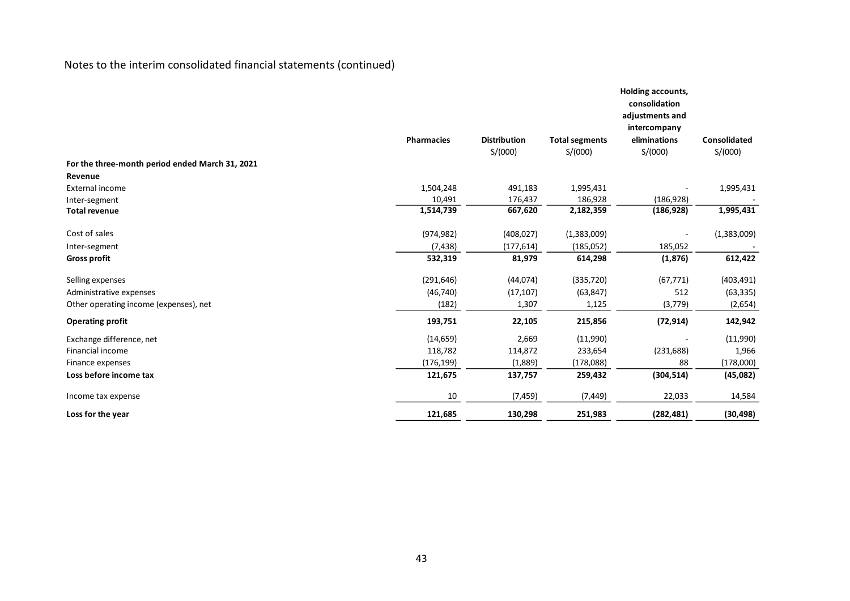|                                                 | <b>Pharmacies</b> | <b>Distribution</b> | <b>Total segments</b> | Holding accounts,<br>consolidation<br>adjustments and<br>intercompany<br>eliminations | <b>Consolidated</b> |
|-------------------------------------------------|-------------------|---------------------|-----------------------|---------------------------------------------------------------------------------------|---------------------|
|                                                 |                   | S/(000)             | S/(000)               | S/(000)                                                                               | S/(000)             |
| For the three-month period ended March 31, 2021 |                   |                     |                       |                                                                                       |                     |
| Revenue                                         |                   |                     |                       |                                                                                       |                     |
| <b>External income</b>                          | 1,504,248         | 491,183             | 1,995,431             |                                                                                       | 1,995,431           |
| Inter-segment                                   | 10,491            | 176,437             | 186,928               | (186, 928)                                                                            |                     |
| <b>Total revenue</b>                            | 1,514,739         | 667,620             | 2,182,359             | (186, 928)                                                                            | 1,995,431           |
| Cost of sales                                   | (974, 982)        | (408, 027)          | (1,383,009)           |                                                                                       | (1,383,009)         |
| Inter-segment                                   | (7, 438)          | (177, 614)          | (185,052)             | 185,052                                                                               |                     |
| <b>Gross profit</b>                             | 532,319           | 81,979              | 614,298               | (1, 876)                                                                              | 612,422             |
| Selling expenses                                | (291, 646)        | (44, 074)           | (335, 720)            | (67, 771)                                                                             | (403, 491)          |
| Administrative expenses                         | (46, 740)         | (17, 107)           | (63, 847)             | 512                                                                                   | (63, 335)           |
| Other operating income (expenses), net          | (182)             | 1,307               | 1,125                 | (3,779)                                                                               | (2,654)             |
| <b>Operating profit</b>                         | 193,751           | 22,105              | 215,856               | (72, 914)                                                                             | 142,942             |
| Exchange difference, net                        | (14, 659)         | 2,669               | (11,990)              |                                                                                       | (11,990)            |
| Financial income                                | 118,782           | 114,872             | 233,654               | (231, 688)                                                                            | 1,966               |
| Finance expenses                                | (176, 199)        | (1,889)             | (178,088)             | 88                                                                                    | (178,000)           |
| Loss before income tax                          | 121,675           | 137,757             | 259,432               | (304, 514)                                                                            | (45,082)            |
| Income tax expense                              | 10                | (7, 459)            | (7, 449)              | 22,033                                                                                | 14,584              |
| Loss for the year                               | 121,685           | 130,298             | 251,983               | (282, 481)                                                                            | (30, 498)           |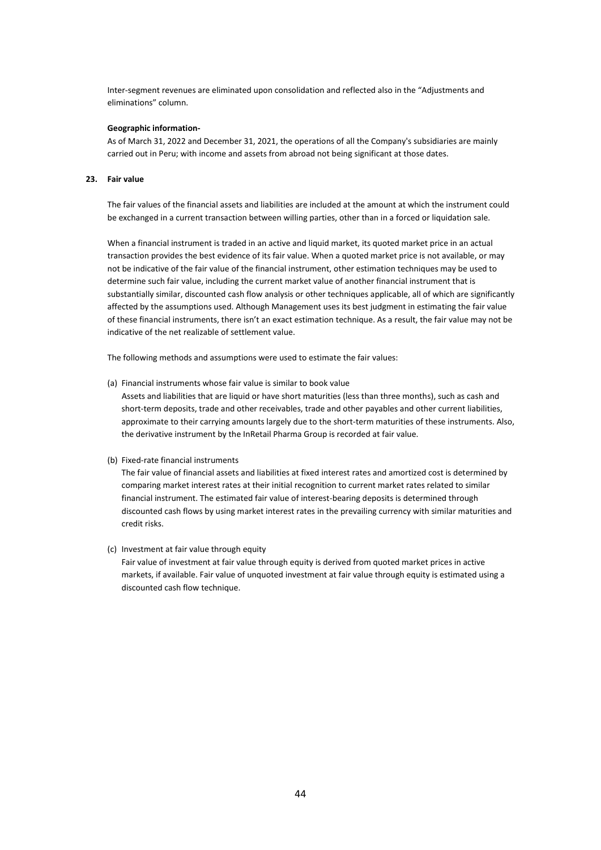Inter-segment revenues are eliminated upon consolidation and reflected also in the "Adjustments and eliminations" column.

#### **Geographic information-**

As of March 31, 2022 and December 31, 2021, the operations of all the Company's subsidiaries are mainly carried out in Peru; with income and assets from abroad not being significant at those dates.

### **23. Fair value**

The fair values of the financial assets and liabilities are included at the amount at which the instrument could be exchanged in a current transaction between willing parties, other than in a forced or liquidation sale.

When a financial instrument is traded in an active and liquid market, its quoted market price in an actual transaction provides the best evidence of its fair value. When a quoted market price is not available, or may not be indicative of the fair value of the financial instrument, other estimation techniques may be used to determine such fair value, including the current market value of another financial instrument that is substantially similar, discounted cash flow analysis or other techniques applicable, all of which are significantly affected by the assumptions used. Although Management uses its best judgment in estimating the fair value of these financial instruments, there isn't an exact estimation technique. As a result, the fair value may not be indicative of the net realizable of settlement value.

The following methods and assumptions were used to estimate the fair values:

- (a) Financial instruments whose fair value is similar to book value Assets and liabilities that are liquid or have short maturities (less than three months), such as cash and short-term deposits, trade and other receivables, trade and other payables and other current liabilities, approximate to their carrying amounts largely due to the short-term maturities of these instruments. Also, the derivative instrument by the InRetail Pharma Group is recorded at fair value.
- (b) Fixed-rate financial instruments

The fair value of financial assets and liabilities at fixed interest rates and amortized cost is determined by comparing market interest rates at their initial recognition to current market rates related to similar financial instrument. The estimated fair value of interest-bearing deposits is determined through discounted cash flows by using market interest rates in the prevailing currency with similar maturities and credit risks.

(c) Investment at fair value through equity

Fair value of investment at fair value through equity is derived from quoted market prices in active markets, if available. Fair value of unquoted investment at fair value through equity is estimated using a discounted cash flow technique.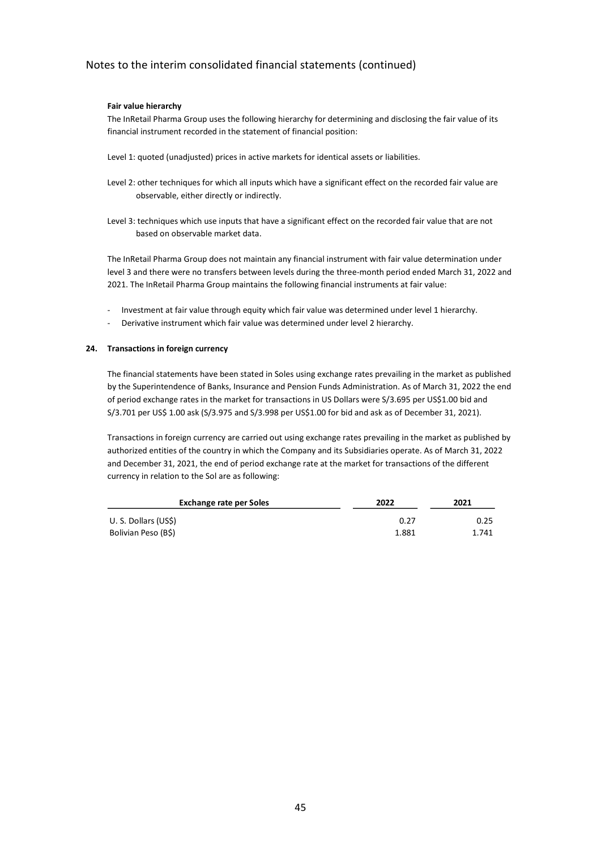### **Fair value hierarchy**

The InRetail Pharma Group uses the following hierarchy for determining and disclosing the fair value of its financial instrument recorded in the statement of financial position:

- Level 1: quoted (unadjusted) prices in active markets for identical assets or liabilities.
- Level 2: other techniques for which all inputs which have a significant effect on the recorded fair value are observable, either directly or indirectly.
- Level 3: techniques which use inputs that have a significant effect on the recorded fair value that are not based on observable market data.

The InRetail Pharma Group does not maintain any financial instrument with fair value determination under level 3 and there were no transfers between levels during the three-month period ended March 31, 2022 and 2021. The InRetail Pharma Group maintains the following financial instruments at fair value:

- Investment at fair value through equity which fair value was determined under level 1 hierarchy.
- Derivative instrument which fair value was determined under level 2 hierarchy.

### **24. Transactions in foreign currency**

The financial statements have been stated in Soles using exchange rates prevailing in the market as published by the Superintendence of Banks, Insurance and Pension Funds Administration. As of March 31, 2022 the end of period exchange rates in the market for transactions in US Dollars were S/3.695 per US\$1.00 bid and S/3.701 per US\$ 1.00 ask (S/3.975 and S/3.998 per US\$1.00 for bid and ask as of December 31, 2021).

Transactions in foreign currency are carried out using exchange rates prevailing in the market as published by authorized entities of the country in which the Company and its Subsidiaries operate. As of March 31, 2022 and December 31, 2021, the end of period exchange rate at the market for transactions of the different currency in relation to the Sol are as following:

| <b>Exchange rate per Soles</b> | 2022  | 2021  |  |
|--------------------------------|-------|-------|--|
| U. S. Dollars (US\$)           | 0.27  | 0.25  |  |
| Bolivian Peso (B\$)            | 1.881 | 1.741 |  |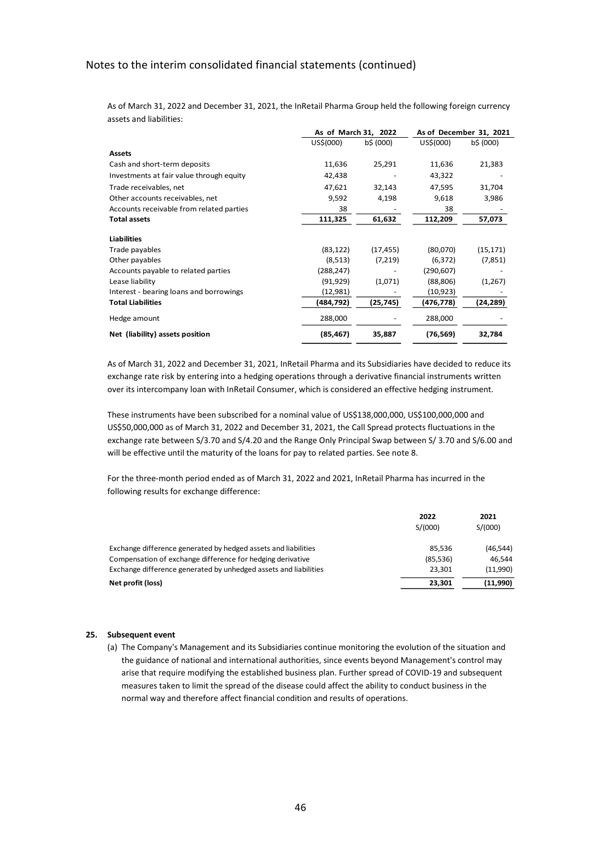As of March 31, 2022 and December 31, 2021, the InRetail Pharma Group held the following foreign currency assets and liabilities:

|                                          | As of March 31, 2022 |           | As of December 31, 2021 |           |
|------------------------------------------|----------------------|-----------|-------------------------|-----------|
|                                          | US\$(000)            | b\$ (000) | US\$(000)               | b\$ (000) |
| <b>Assets</b>                            |                      |           |                         |           |
| Cash and short-term deposits             | 11,636               | 25,291    | 11,636                  | 21,383    |
| Investments at fair value through equity | 42,438               |           | 43,322                  |           |
| Trade receivables, net                   | 47,621               | 32,143    | 47,595                  | 31,704    |
| Other accounts receivables, net          | 9,592                | 4,198     | 9,618                   | 3,986     |
| Accounts receivable from related parties | 38                   |           | 38                      |           |
| <b>Total assets</b>                      | 111,325              | 61,632    | 112,209                 | 57,073    |
| <b>Liabilities</b>                       |                      |           |                         |           |
| Trade payables                           | (83, 122)            | (17, 455) | (80,070)                | (15, 171) |
| Other payables                           | (8,513)              | (7,219)   | (6, 372)                | (7,851)   |
| Accounts payable to related parties      | (288,247)            |           | (290, 607)              |           |
| Lease liability                          | (91, 929)            | (1,071)   | (88, 806)               | (1,267)   |
| Interest - bearing loans and borrowings  | (12,981)             |           | (10, 923)               |           |
| <b>Total Liabilities</b>                 | (484,792)            | (25, 745) | (476,778)               | (24,289)  |
| Hedge amount                             | 288,000              |           | 288,000                 |           |
| Net (liability) assets position          | (85, 467)            | 35,887    | (76, 569)               | 32,784    |

As of March 31, 2022 and December 31, 2021, InRetail Pharma and its Subsidiaries have decided to reduce its exchange rate risk by entering into a hedging operations through a derivative financial instruments written over its intercompany loan with InRetail Consumer, which is considered an effective hedging instrument.

These instruments have been subscribed for a nominal value of US\$138,000,000, US\$100,000,000 and US\$50,000,000 as of March 31, 2022 and December 31, 2021, the Call Spread protects fluctuations in the exchange rate between S/3.70 and S/4.20 and the Range Only Principal Swap between S/ 3.70 and S/6.00 and will be effective until the maturity of the loans for pay to related parties. See note 8.

For the three-month period ended as of March 31, 2022 and 2021, InRetail Pharma has incurred in the following results for exchange difference:

|                                                                  | 2022<br>S/(000) | 2021<br>S/(000) |
|------------------------------------------------------------------|-----------------|-----------------|
| Exchange difference generated by hedged assets and liabilities   | 85.536          | (46.544)        |
| Compensation of exchange difference for hedging derivative       | (85, 536)       | 46.544          |
| Exchange difference generated by unhedged assets and liabilities | 23.301          | (11,990)        |
| Net profit (loss)                                                | 23.301          | (11,990)        |

### **25. Subsequent event**

(a) The Company's Management and its Subsidiaries continue monitoring the evolution of the situation and the guidance of national and international authorities, since events beyond Management's control may arise that require modifying the established business plan. Further spread of COVID-19 and subsequent measures taken to limit the spread of the disease could affect the ability to conduct business in the normal way and therefore affect financial condition and results of operations.